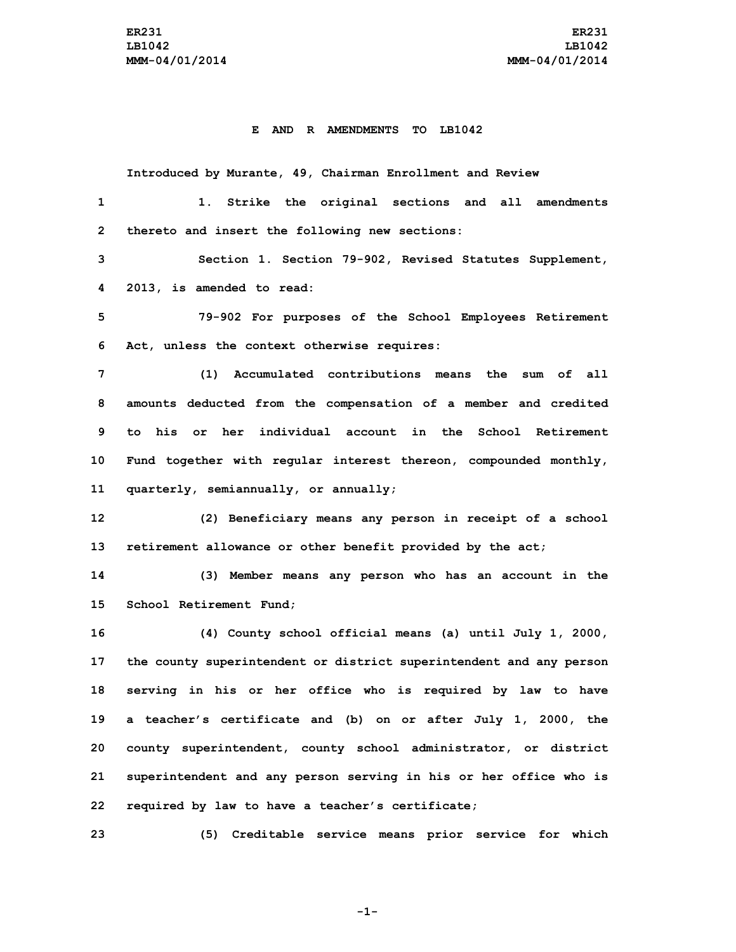## **E AND R AMENDMENTS TO LB1042**

**Introduced by Murante, 49, Chairman Enrollment and Review**

| 1              | 1. Strike the original sections and all amendments                  |
|----------------|---------------------------------------------------------------------|
| $\overline{2}$ | thereto and insert the following new sections:                      |
| 3              | Section 1. Section 79-902, Revised Statutes Supplement,             |
| 4              | 2013, is amended to read:                                           |
| 5              | 79-902 For purposes of the School Employees Retirement              |
| 6              | Act, unless the context otherwise requires:                         |
| 7              | (1) Accumulated contributions means the sum of all                  |
| 8              | amounts deducted from the compensation of a member and credited     |
| 9              | to his or her individual account in the School Retirement           |
| 10             | Fund together with regular interest thereon, compounded monthly,    |
| 11             | quarterly, semiannually, or annually;                               |
| 12             | (2) Beneficiary means any person in receipt of a school             |
| 13             | retirement allowance or other benefit provided by the act;          |
| 14             | (3) Member means any person who has an account in the               |
| 15             | School Retirement Fund;                                             |
| 16             | (4) County school official means (a) until July 1, 2000,            |
| 17             | the county superintendent or district superintendent and any person |
| 18             | serving in his or her office who is required by law to have         |
| 19             | a teacher's certificate and (b) on or after July 1, 2000, the       |
| 20             | county superintendent, county school administrator, or district     |
| 21             | superintendent and any person serving in his or her office who is   |
| 22             | required by law to have a teacher's certificate;                    |
| 23             | (5) Creditable service means prior service for which                |

**-1-**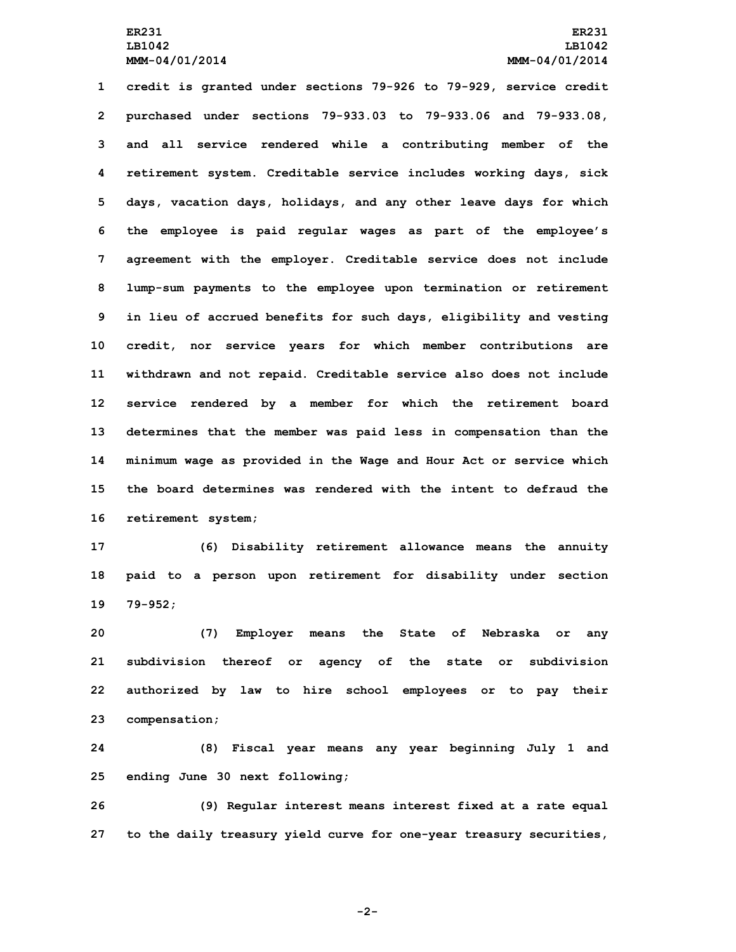**credit is granted under sections 79-926 to 79-929, service credit purchased under sections 79-933.03 to 79-933.06 and 79-933.08, and all service rendered while <sup>a</sup> contributing member of the retirement system. Creditable service includes working days, sick days, vacation days, holidays, and any other leave days for which the employee is paid regular wages as part of the employee's agreement with the employer. Creditable service does not include lump-sum payments to the employee upon termination or retirement in lieu of accrued benefits for such days, eligibility and vesting credit, nor service years for which member contributions are withdrawn and not repaid. Creditable service also does not include service rendered by <sup>a</sup> member for which the retirement board determines that the member was paid less in compensation than the minimum wage as provided in the Wage and Hour Act or service which the board determines was rendered with the intent to defraud the retirement system;**

**17 (6) Disability retirement allowance means the annuity 18 paid to <sup>a</sup> person upon retirement for disability under section 19 79-952;**

 **(7) Employer means the State of Nebraska or any subdivision thereof or agency of the state or subdivision authorized by law to hire school employees or to pay their compensation;**

**24 (8) Fiscal year means any year beginning July 1 and 25 ending June 30 next following;**

**26 (9) Regular interest means interest fixed at <sup>a</sup> rate equal 27 to the daily treasury yield curve for one-year treasury securities,**

**-2-**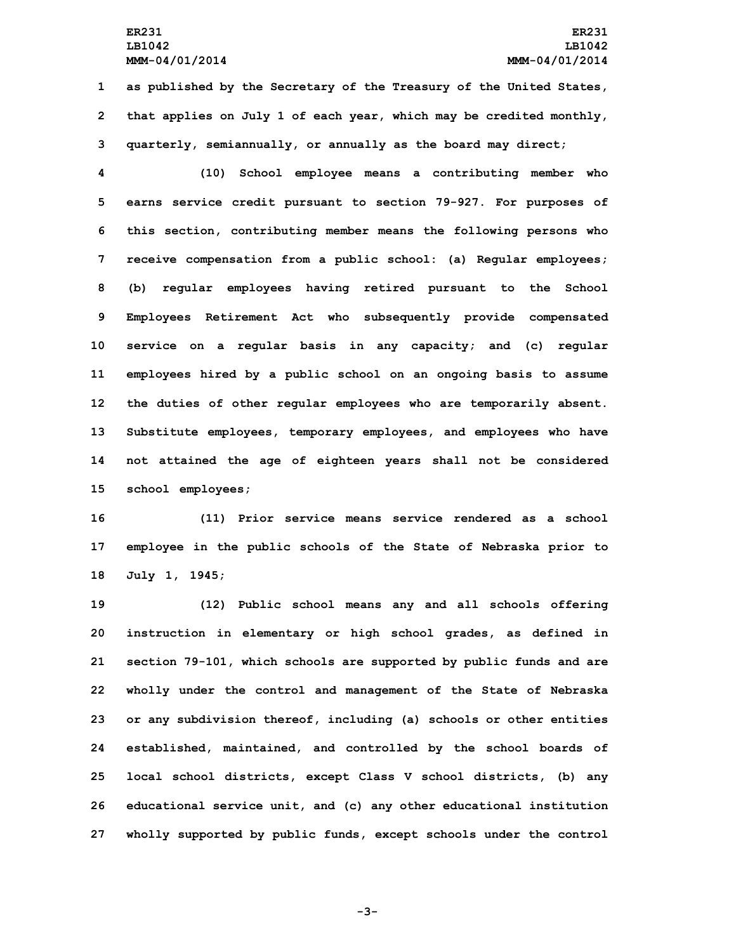**1 as published by the Secretary of the Treasury of the United States, 2 that applies on July 1 of each year, which may be credited monthly, 3 quarterly, semiannually, or annually as the board may direct;**

 **(10) School employee means <sup>a</sup> contributing member who earns service credit pursuant to section 79-927. For purposes of this section, contributing member means the following persons who receive compensation from <sup>a</sup> public school: (a) Regular employees; (b) regular employees having retired pursuant to the School Employees Retirement Act who subsequently provide compensated service on <sup>a</sup> regular basis in any capacity; and (c) regular employees hired by <sup>a</sup> public school on an ongoing basis to assume the duties of other regular employees who are temporarily absent. Substitute employees, temporary employees, and employees who have not attained the age of eighteen years shall not be considered school employees;**

**16 (11) Prior service means service rendered as <sup>a</sup> school 17 employee in the public schools of the State of Nebraska prior to 18 July 1, 1945;**

 **(12) Public school means any and all schools offering instruction in elementary or high school grades, as defined in section 79-101, which schools are supported by public funds and are wholly under the control and management of the State of Nebraska or any subdivision thereof, including (a) schools or other entities established, maintained, and controlled by the school boards of local school districts, except Class <sup>V</sup> school districts, (b) any educational service unit, and (c) any other educational institution wholly supported by public funds, except schools under the control**

**-3-**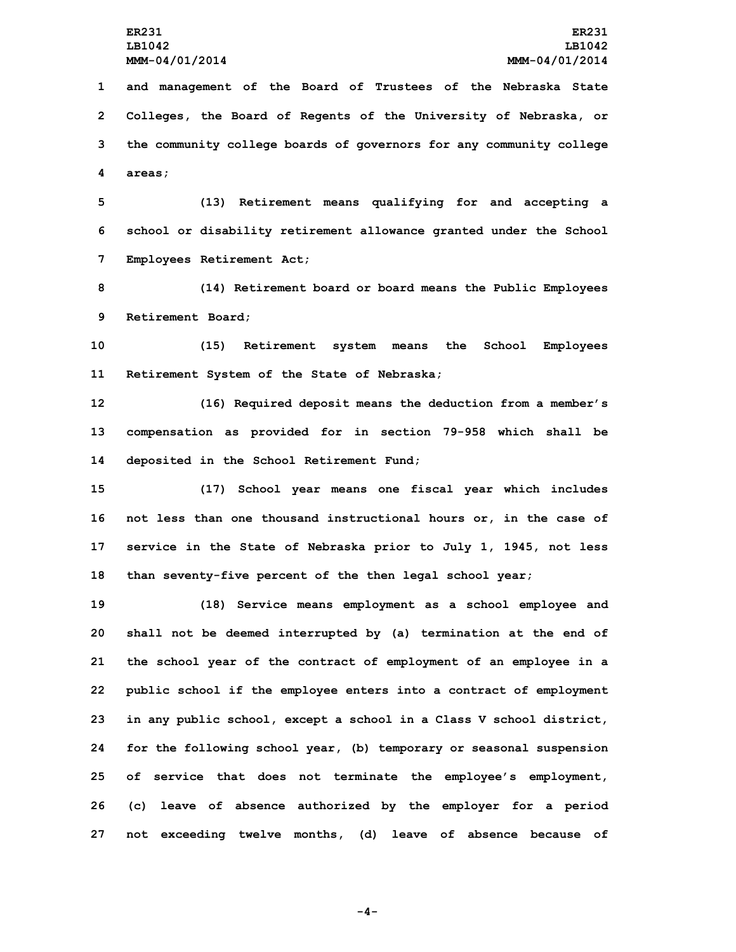**and management of the Board of Trustees of the Nebraska State Colleges, the Board of Regents of the University of Nebraska, or the community college boards of governors for any community college 4 areas;**

**5 (13) Retirement means qualifying for and accepting <sup>a</sup> 6 school or disability retirement allowance granted under the School 7 Employees Retirement Act;**

**8 (14) Retirement board or board means the Public Employees 9 Retirement Board;**

**10 (15) Retirement system means the School Employees 11 Retirement System of the State of Nebraska;**

**12 (16) Required deposit means the deduction from <sup>a</sup> member's 13 compensation as provided for in section 79-958 which shall be 14 deposited in the School Retirement Fund;**

 **(17) School year means one fiscal year which includes not less than one thousand instructional hours or, in the case of service in the State of Nebraska prior to July 1, 1945, not less than seventy-five percent of the then legal school year;**

 **(18) Service means employment as <sup>a</sup> school employee and shall not be deemed interrupted by (a) termination at the end of the school year of the contract of employment of an employee in <sup>a</sup> public school if the employee enters into <sup>a</sup> contract of employment in any public school, except <sup>a</sup> school in <sup>a</sup> Class <sup>V</sup> school district, for the following school year, (b) temporary or seasonal suspension of service that does not terminate the employee's employment, (c) leave of absence authorized by the employer for <sup>a</sup> period not exceeding twelve months, (d) leave of absence because of**

**-4-**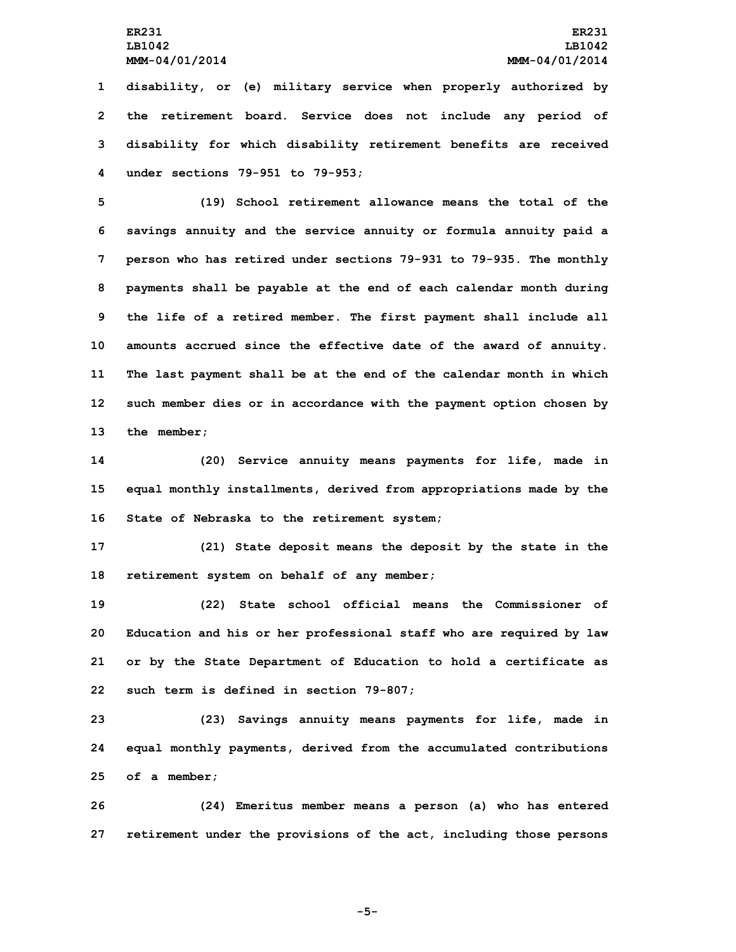**disability, or (e) military service when properly authorized by the retirement board. Service does not include any period of disability for which disability retirement benefits are received under sections 79-951 to 79-953;**

 **(19) School retirement allowance means the total of the savings annuity and the service annuity or formula annuity paid <sup>a</sup> person who has retired under sections 79-931 to 79-935. The monthly payments shall be payable at the end of each calendar month during the life of <sup>a</sup> retired member. The first payment shall include all amounts accrued since the effective date of the award of annuity. The last payment shall be at the end of the calendar month in which such member dies or in accordance with the payment option chosen by the member;**

**14 (20) Service annuity means payments for life, made in 15 equal monthly installments, derived from appropriations made by the 16 State of Nebraska to the retirement system;**

**17 (21) State deposit means the deposit by the state in the 18 retirement system on behalf of any member;**

 **(22) State school official means the Commissioner of Education and his or her professional staff who are required by law or by the State Department of Education to hold <sup>a</sup> certificate as such term is defined in section 79-807;**

**23 (23) Savings annuity means payments for life, made in 24 equal monthly payments, derived from the accumulated contributions 25 of <sup>a</sup> member;**

**26 (24) Emeritus member means <sup>a</sup> person (a) who has entered 27 retirement under the provisions of the act, including those persons**

**-5-**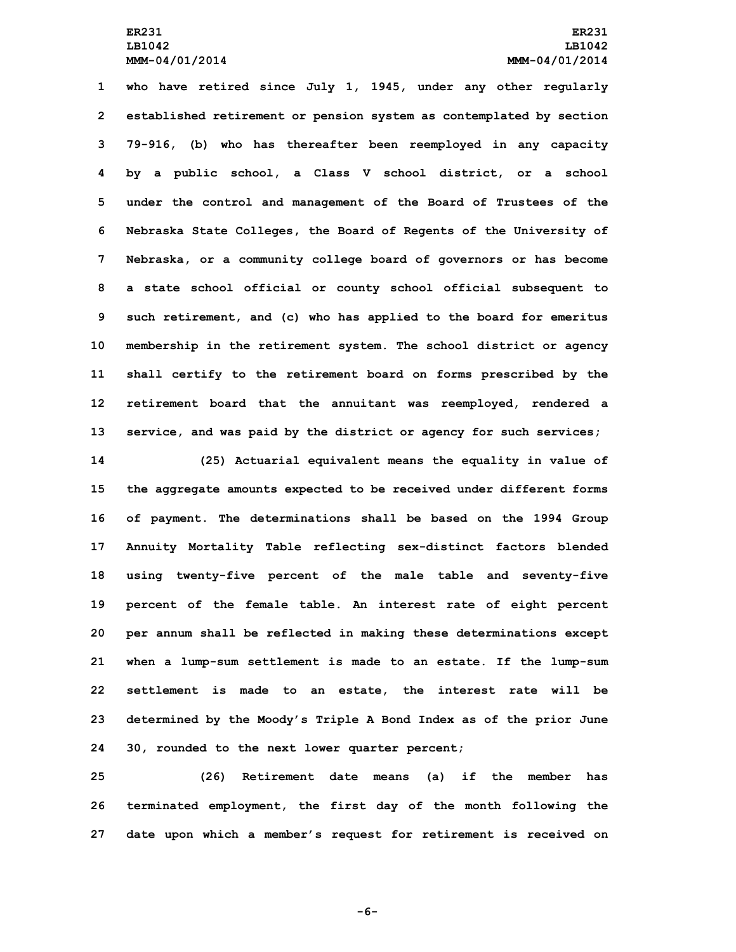**who have retired since July 1, 1945, under any other regularly established retirement or pension system as contemplated by section 79-916, (b) who has thereafter been reemployed in any capacity by <sup>a</sup> public school, <sup>a</sup> Class V school district, or <sup>a</sup> school under the control and management of the Board of Trustees of the Nebraska State Colleges, the Board of Regents of the University of Nebraska, or <sup>a</sup> community college board of governors or has become <sup>a</sup> state school official or county school official subsequent to such retirement, and (c) who has applied to the board for emeritus membership in the retirement system. The school district or agency shall certify to the retirement board on forms prescribed by the retirement board that the annuitant was reemployed, rendered <sup>a</sup> service, and was paid by the district or agency for such services;**

 **(25) Actuarial equivalent means the equality in value of the aggregate amounts expected to be received under different forms of payment. The determinations shall be based on the 1994 Group Annuity Mortality Table reflecting sex-distinct factors blended using twenty-five percent of the male table and seventy-five percent of the female table. An interest rate of eight percent per annum shall be reflected in making these determinations except when <sup>a</sup> lump-sum settlement is made to an estate. If the lump-sum settlement is made to an estate, the interest rate will be determined by the Moody's Triple <sup>A</sup> Bond Index as of the prior June 30, rounded to the next lower quarter percent;**

**25 (26) Retirement date means (a) if the member has 26 terminated employment, the first day of the month following the 27 date upon which <sup>a</sup> member's request for retirement is received on**

**-6-**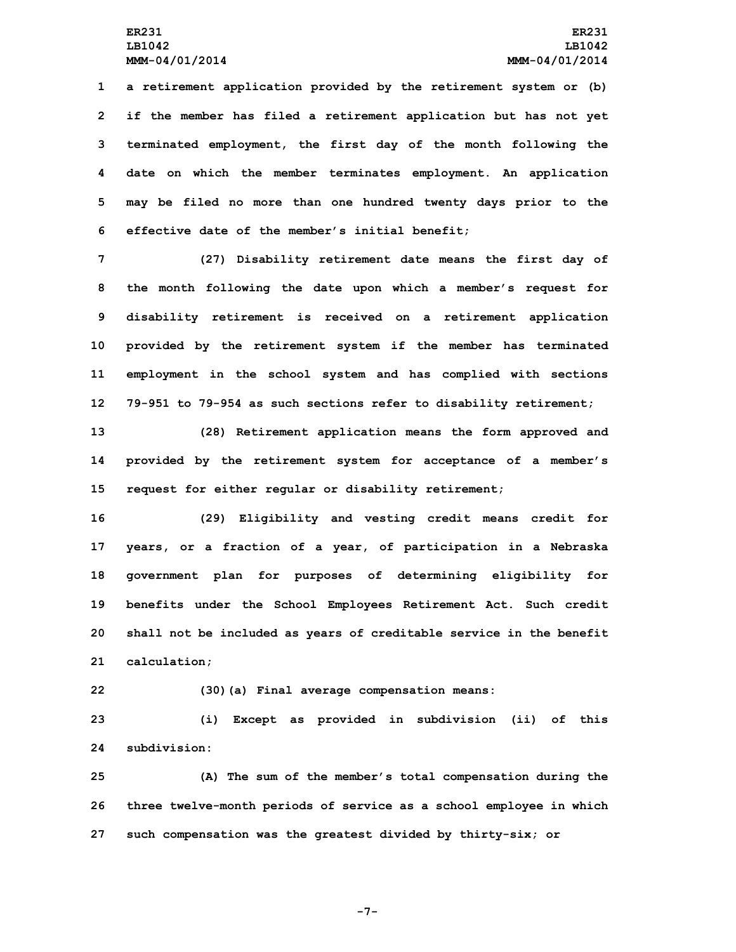**<sup>a</sup> retirement application provided by the retirement system or (b) if the member has filed <sup>a</sup> retirement application but has not yet terminated employment, the first day of the month following the date on which the member terminates employment. An application may be filed no more than one hundred twenty days prior to the effective date of the member's initial benefit;**

 **(27) Disability retirement date means the first day of the month following the date upon which <sup>a</sup> member's request for disability retirement is received on <sup>a</sup> retirement application provided by the retirement system if the member has terminated employment in the school system and has complied with sections 79-951 to 79-954 as such sections refer to disability retirement;**

**13 (28) Retirement application means the form approved and 14 provided by the retirement system for acceptance of <sup>a</sup> member's 15 request for either regular or disability retirement;**

 **(29) Eligibility and vesting credit means credit for years, or <sup>a</sup> fraction of <sup>a</sup> year, of participation in <sup>a</sup> Nebraska government plan for purposes of determining eligibility for benefits under the School Employees Retirement Act. Such credit shall not be included as years of creditable service in the benefit calculation;**

**22 (30)(a) Final average compensation means:**

**23 (i) Except as provided in subdivision (ii) of this 24 subdivision:**

**25 (A) The sum of the member's total compensation during the 26 three twelve-month periods of service as <sup>a</sup> school employee in which 27 such compensation was the greatest divided by thirty-six; or**

**-7-**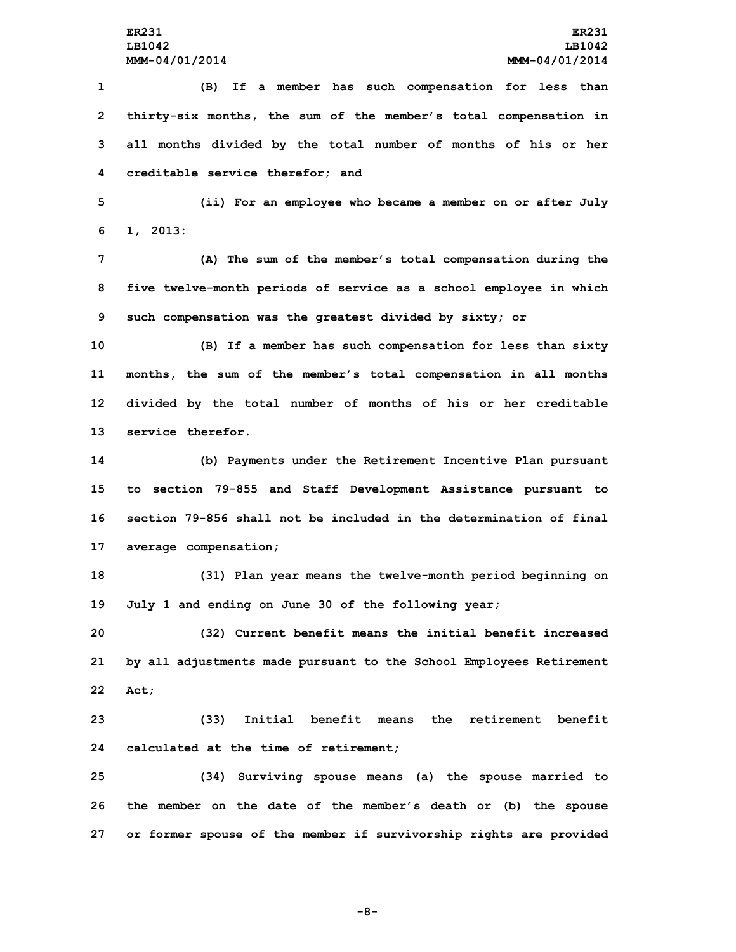**(B) If <sup>a</sup> member has such compensation for less than thirty-six months, the sum of the member's total compensation in all months divided by the total number of months of his or her creditable service therefor; and**

**5 (ii) For an employee who became <sup>a</sup> member on or after July 6 1, 2013:**

**7 (A) The sum of the member's total compensation during the 8 five twelve-month periods of service as <sup>a</sup> school employee in which 9 such compensation was the greatest divided by sixty; or**

 **(B) If <sup>a</sup> member has such compensation for less than sixty months, the sum of the member's total compensation in all months divided by the total number of months of his or her creditable service therefor.**

 **(b) Payments under the Retirement Incentive Plan pursuant to section 79-855 and Staff Development Assistance pursuant to section 79-856 shall not be included in the determination of final average compensation;**

**18 (31) Plan year means the twelve-month period beginning on 19 July 1 and ending on June 30 of the following year;**

**20 (32) Current benefit means the initial benefit increased 21 by all adjustments made pursuant to the School Employees Retirement 22 Act;**

**23 (33) Initial benefit means the retirement benefit 24 calculated at the time of retirement;**

**25 (34) Surviving spouse means (a) the spouse married to 26 the member on the date of the member's death or (b) the spouse 27 or former spouse of the member if survivorship rights are provided**

**-8-**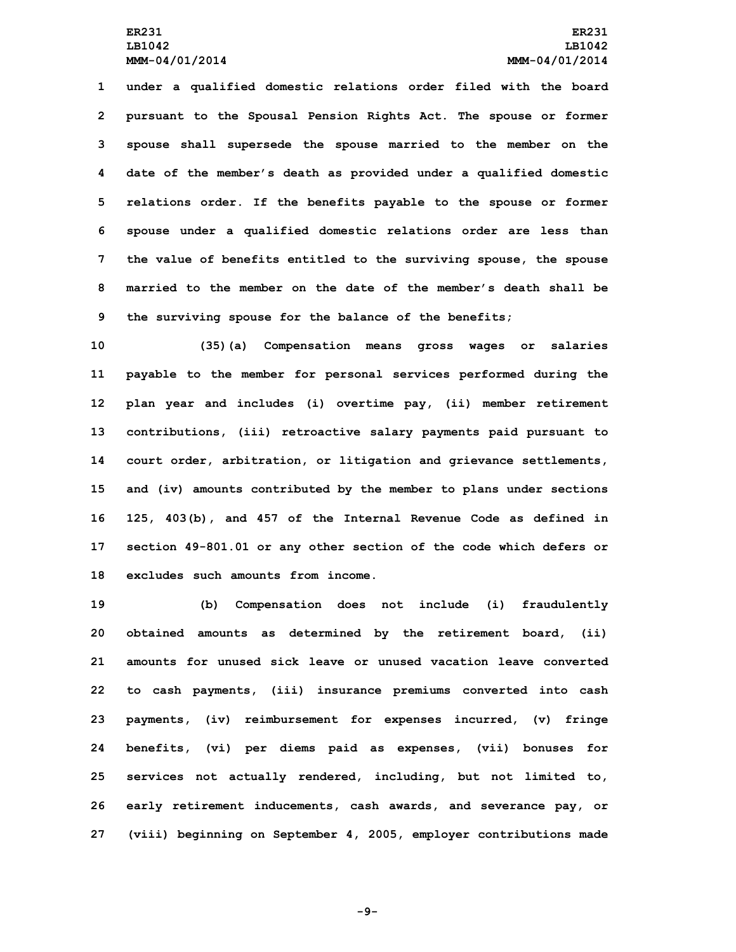**under <sup>a</sup> qualified domestic relations order filed with the board pursuant to the Spousal Pension Rights Act. The spouse or former spouse shall supersede the spouse married to the member on the date of the member's death as provided under <sup>a</sup> qualified domestic relations order. If the benefits payable to the spouse or former spouse under <sup>a</sup> qualified domestic relations order are less than the value of benefits entitled to the surviving spouse, the spouse married to the member on the date of the member's death shall be the surviving spouse for the balance of the benefits;**

 **(35)(a) Compensation means gross wages or salaries payable to the member for personal services performed during the plan year and includes (i) overtime pay, (ii) member retirement contributions, (iii) retroactive salary payments paid pursuant to court order, arbitration, or litigation and grievance settlements, and (iv) amounts contributed by the member to plans under sections 125, 403(b), and 457 of the Internal Revenue Code as defined in section 49-801.01 or any other section of the code which defers or excludes such amounts from income.**

 **(b) Compensation does not include (i) fraudulently obtained amounts as determined by the retirement board, (ii) amounts for unused sick leave or unused vacation leave converted to cash payments, (iii) insurance premiums converted into cash payments, (iv) reimbursement for expenses incurred, (v) fringe benefits, (vi) per diems paid as expenses, (vii) bonuses for services not actually rendered, including, but not limited to, early retirement inducements, cash awards, and severance pay, or (viii) beginning on September 4, 2005, employer contributions made**

**-9-**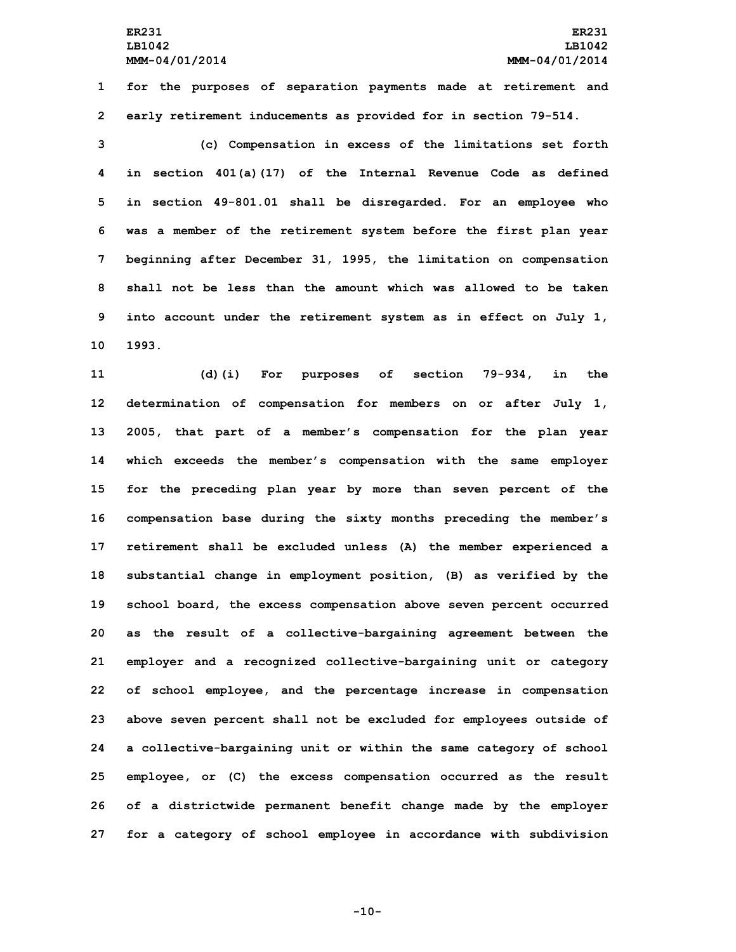**1 for the purposes of separation payments made at retirement and 2 early retirement inducements as provided for in section 79-514.**

 **(c) Compensation in excess of the limitations set forth in section 401(a)(17) of the Internal Revenue Code as defined in section 49-801.01 shall be disregarded. For an employee who was <sup>a</sup> member of the retirement system before the first plan year beginning after December 31, 1995, the limitation on compensation shall not be less than the amount which was allowed to be taken into account under the retirement system as in effect on July 1, 10 1993.**

 **(d)(i) For purposes of section 79-934, in the determination of compensation for members on or after July 1, 2005, that part of <sup>a</sup> member's compensation for the plan year which exceeds the member's compensation with the same employer for the preceding plan year by more than seven percent of the compensation base during the sixty months preceding the member's retirement shall be excluded unless (A) the member experienced <sup>a</sup> substantial change in employment position, (B) as verified by the school board, the excess compensation above seven percent occurred as the result of <sup>a</sup> collective-bargaining agreement between the employer and <sup>a</sup> recognized collective-bargaining unit or category of school employee, and the percentage increase in compensation above seven percent shall not be excluded for employees outside of <sup>a</sup> collective-bargaining unit or within the same category of school employee, or (C) the excess compensation occurred as the result of <sup>a</sup> districtwide permanent benefit change made by the employer for <sup>a</sup> category of school employee in accordance with subdivision**

**-10-**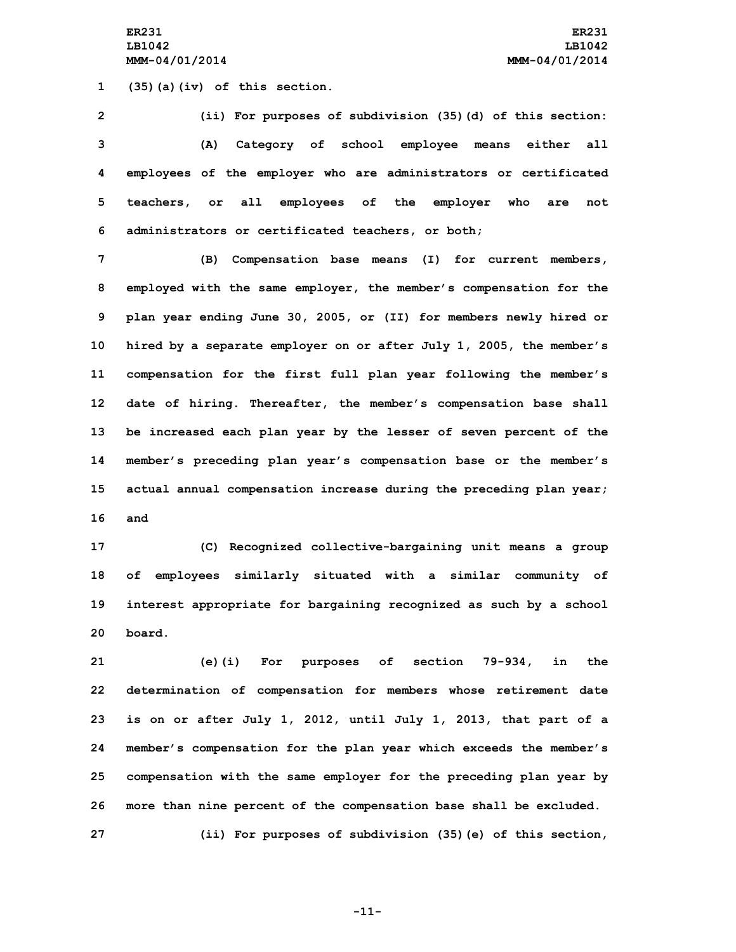**ER231 ER231 LB1042 LB1042 MMM-04/01/2014 MMM-04/01/2014**

**1 (35)(a)(iv) of this section.**

 **(ii) For purposes of subdivision (35)(d) of this section: (A) Category of school employee means either all employees of the employer who are administrators or certificated teachers, or all employees of the employer who are not administrators or certificated teachers, or both;**

 **(B) Compensation base means (I) for current members, employed with the same employer, the member's compensation for the plan year ending June 30, 2005, or (II) for members newly hired or hired by <sup>a</sup> separate employer on or after July 1, 2005, the member's compensation for the first full plan year following the member's date of hiring. Thereafter, the member's compensation base shall be increased each plan year by the lesser of seven percent of the member's preceding plan year's compensation base or the member's actual annual compensation increase during the preceding plan year; 16 and**

 **(C) Recognized collective-bargaining unit means <sup>a</sup> group of employees similarly situated with <sup>a</sup> similar community of interest appropriate for bargaining recognized as such by <sup>a</sup> school 20 board.**

 **(e)(i) For purposes of section 79-934, in the determination of compensation for members whose retirement date is on or after July 1, 2012, until July 1, 2013, that part of <sup>a</sup> member's compensation for the plan year which exceeds the member's compensation with the same employer for the preceding plan year by more than nine percent of the compensation base shall be excluded. (ii) For purposes of subdivision (35)(e) of this section,**

**-11-**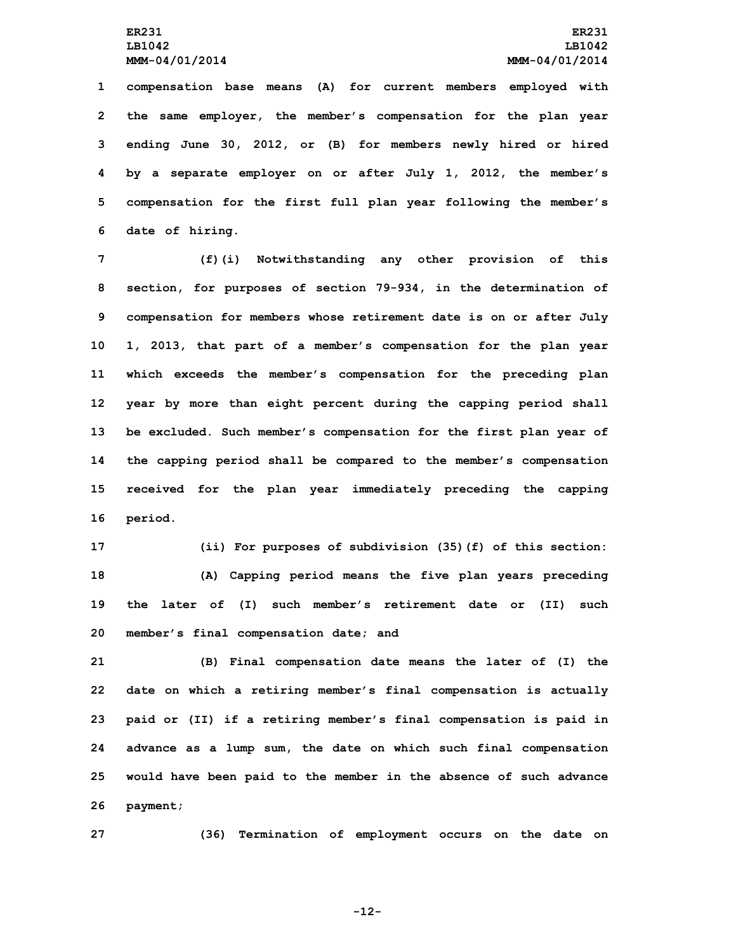**compensation base means (A) for current members employed with the same employer, the member's compensation for the plan year ending June 30, 2012, or (B) for members newly hired or hired by <sup>a</sup> separate employer on or after July 1, 2012, the member's compensation for the first full plan year following the member's date of hiring.**

 **(f)(i) Notwithstanding any other provision of this section, for purposes of section 79-934, in the determination of compensation for members whose retirement date is on or after July 1, 2013, that part of <sup>a</sup> member's compensation for the plan year which exceeds the member's compensation for the preceding plan year by more than eight percent during the capping period shall be excluded. Such member's compensation for the first plan year of the capping period shall be compared to the member's compensation received for the plan year immediately preceding the capping 16 period.**

 **(ii) For purposes of subdivision (35)(f) of this section: (A) Capping period means the five plan years preceding the later of (I) such member's retirement date or (II) such member's final compensation date; and**

 **(B) Final compensation date means the later of (I) the date on which <sup>a</sup> retiring member's final compensation is actually paid or (II) if <sup>a</sup> retiring member's final compensation is paid in advance as <sup>a</sup> lump sum, the date on which such final compensation would have been paid to the member in the absence of such advance 26 payment;**

**27 (36) Termination of employment occurs on the date on**

**-12-**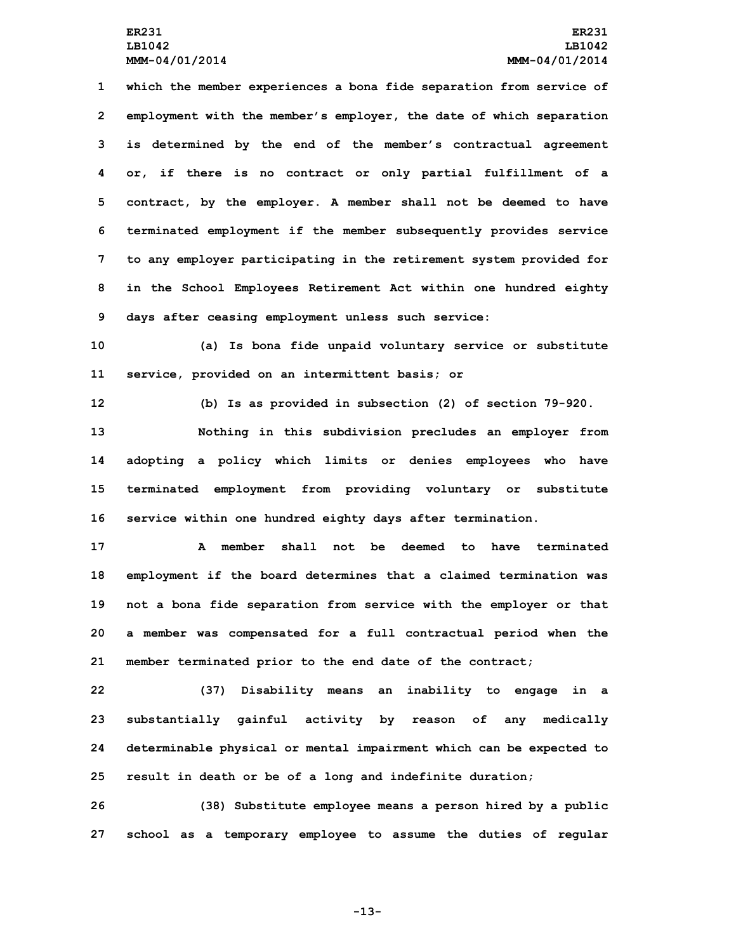**which the member experiences <sup>a</sup> bona fide separation from service of employment with the member's employer, the date of which separation is determined by the end of the member's contractual agreement or, if there is no contract or only partial fulfillment of <sup>a</sup> contract, by the employer. A member shall not be deemed to have terminated employment if the member subsequently provides service to any employer participating in the retirement system provided for in the School Employees Retirement Act within one hundred eighty days after ceasing employment unless such service:**

**10 (a) Is bona fide unpaid voluntary service or substitute 11 service, provided on an intermittent basis; or**

**12 (b) Is as provided in subsection (2) of section 79-920.**

 **Nothing in this subdivision precludes an employer from adopting <sup>a</sup> policy which limits or denies employees who have terminated employment from providing voluntary or substitute service within one hundred eighty days after termination.**

 **A member shall not be deemed to have terminated employment if the board determines that <sup>a</sup> claimed termination was not <sup>a</sup> bona fide separation from service with the employer or that <sup>a</sup> member was compensated for <sup>a</sup> full contractual period when the member terminated prior to the end date of the contract;**

 **(37) Disability means an inability to engage in <sup>a</sup> substantially gainful activity by reason of any medically determinable physical or mental impairment which can be expected to result in death or be of <sup>a</sup> long and indefinite duration;**

**26 (38) Substitute employee means <sup>a</sup> person hired by <sup>a</sup> public 27 school as <sup>a</sup> temporary employee to assume the duties of regular**

**-13-**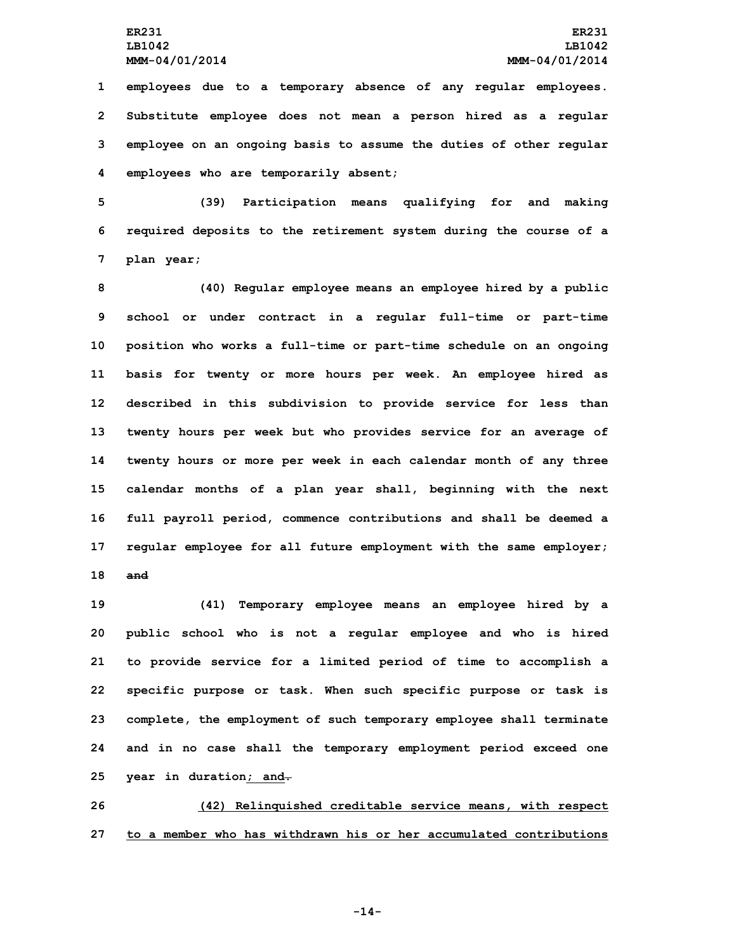**employees due to <sup>a</sup> temporary absence of any regular employees. Substitute employee does not mean <sup>a</sup> person hired as <sup>a</sup> regular employee on an ongoing basis to assume the duties of other regular employees who are temporarily absent;**

**5 (39) Participation means qualifying for and making 6 required deposits to the retirement system during the course of <sup>a</sup> 7 plan year;**

 **(40) Regular employee means an employee hired by <sup>a</sup> public school or under contract in <sup>a</sup> regular full-time or part-time position who works <sup>a</sup> full-time or part-time schedule on an ongoing basis for twenty or more hours per week. An employee hired as described in this subdivision to provide service for less than twenty hours per week but who provides service for an average of twenty hours or more per week in each calendar month of any three calendar months of <sup>a</sup> plan year shall, beginning with the next full payroll period, commence contributions and shall be deemed <sup>a</sup> regular employee for all future employment with the same employer; 18 and**

 **(41) Temporary employee means an employee hired by <sup>a</sup> public school who is not <sup>a</sup> regular employee and who is hired to provide service for <sup>a</sup> limited period of time to accomplish <sup>a</sup> specific purpose or task. When such specific purpose or task is complete, the employment of such temporary employee shall terminate and in no case shall the temporary employment period exceed one year in duration; and.**

**26 (42) Relinquished creditable service means, with respect 27 to a member who has withdrawn his or her accumulated contributions**

**-14-**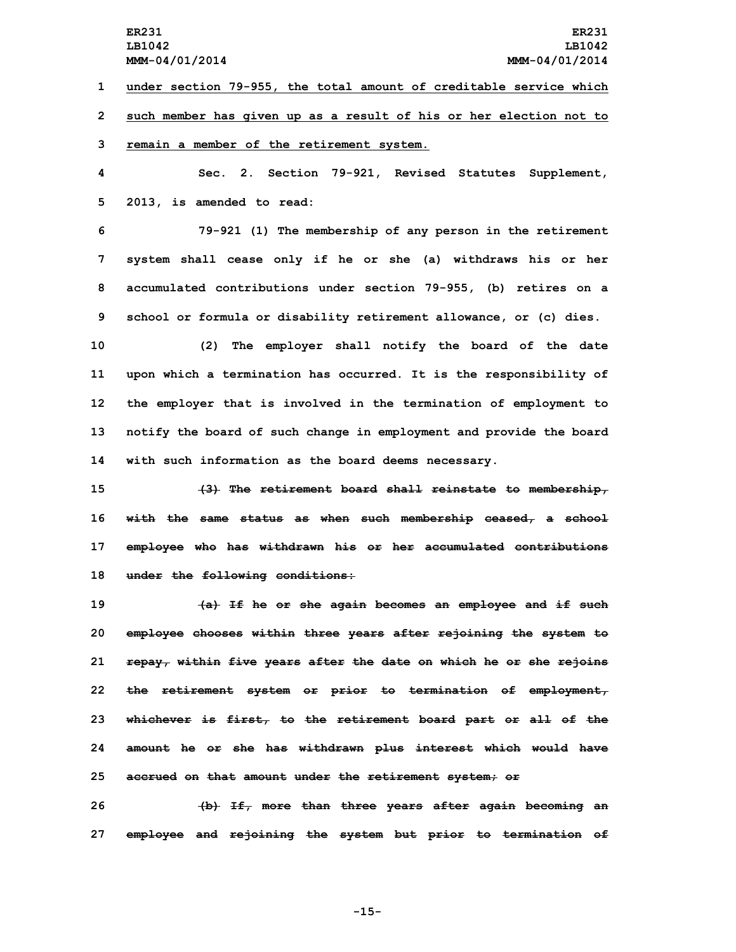**1 under section 79-955, the total amount of creditable service which**

**2 such member has given up as <sup>a</sup> result of his or her election not to**

**3 remain <sup>a</sup> member of the retirement system.**

**4 Sec. 2. Section 79-921, Revised Statutes Supplement, 5 2013, is amended to read:**

 **79-921 (1) The membership of any person in the retirement system shall cease only if he or she (a) withdraws his or her accumulated contributions under section 79-955, (b) retires on <sup>a</sup> school or formula or disability retirement allowance, or (c) dies.**

 **(2) The employer shall notify the board of the date upon which <sup>a</sup> termination has occurred. It is the responsibility of the employer that is involved in the termination of employment to notify the board of such change in employment and provide the board with such information as the board deems necessary.**

 **(3) The retirement board shall reinstate to membership, with the same status as when such membership ceased, <sup>a</sup> school employee who has withdrawn his or her accumulated contributions under the following conditions:**

 **(a) If he or she again becomes an employee and if such employee chooses within three years after rejoining the system to repay, within five years after the date on which he or she rejoins the retirement system or prior to termination of employment, whichever is first, to the retirement board part or all of the amount he or she has withdrawn plus interest which would have accrued on that amount under the retirement system; or**

**26 (b) If, more than three years after again becoming an 27 employee and rejoining the system but prior to termination of**

**-15-**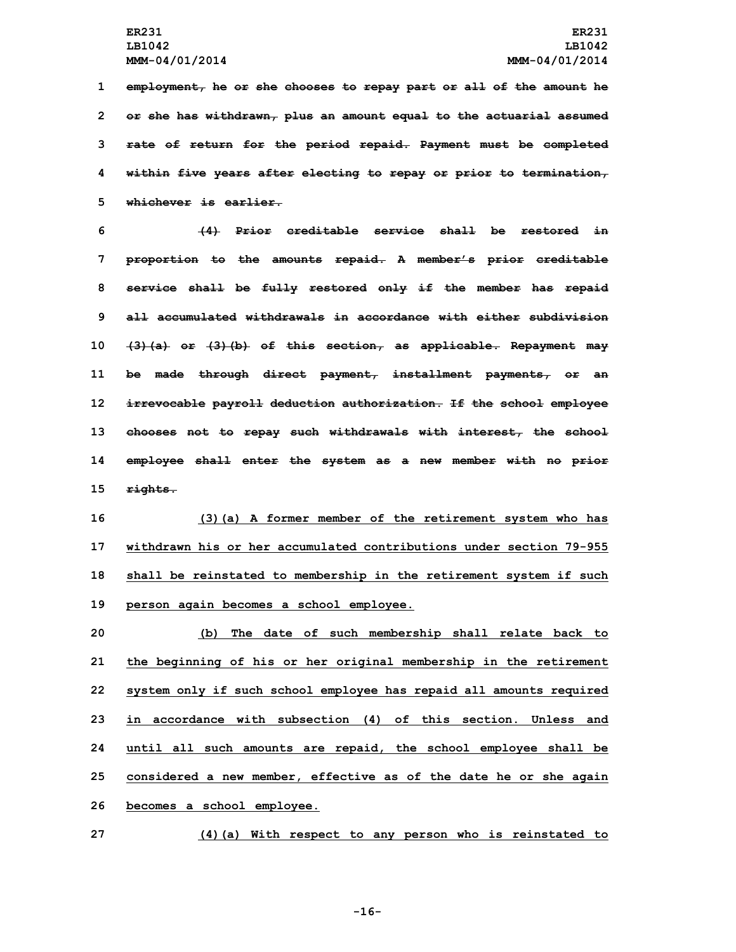**employment, he or she chooses to repay part or all of the amount he or she has withdrawn, plus an amount equal to the actuarial assumed rate of return for the period repaid. Payment must be completed within five years after electing to repay or prior to termination, whichever is earlier.**

 **(4) Prior creditable service shall be restored in proportion to the amounts repaid. A member's prior creditable service shall be fully restored only if the member has repaid all accumulated withdrawals in accordance with either subdivision (3)(a) or (3)(b) of this section, as applicable. Repayment may be made through direct payment, installment payments, or an irrevocable payroll deduction authorization. If the school employee chooses not to repay such withdrawals with interest, the school employee shall enter the system as <sup>a</sup> new member with no prior 15 rights.**

 **(3)(a) <sup>A</sup> former member of the retirement system who has withdrawn his or her accumulated contributions under section 79-955 shall be reinstated to membership in the retirement system if such person again becomes <sup>a</sup> school employee.**

 **(b) The date of such membership shall relate back to the beginning of his or her original membership in the retirement system only if such school employee has repaid all amounts required in accordance with subsection (4) of this section. Unless and until all such amounts are repaid, the school employee shall be considered <sup>a</sup> new member, effective as of the date he or she again becomes <sup>a</sup> school employee.**

**27 (4)(a) With respect to any person who is reinstated to**

**-16-**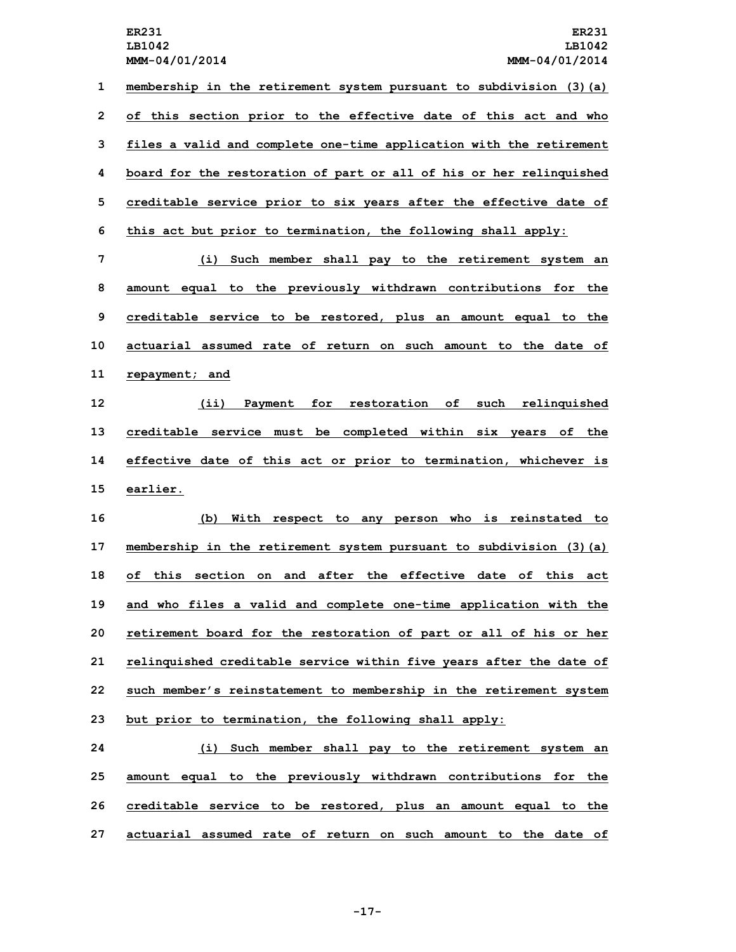**membership in the retirement system pursuant to subdivision (3)(a) of this section prior to the effective date of this act and who files <sup>a</sup> valid and complete one-time application with the retirement board for the restoration of part or all of his or her relinquished creditable service prior to six years after the effective date of this act but prior to termination, the following shall apply:**

 **(i) Such member shall pay to the retirement system an amount equal to the previously withdrawn contributions for the creditable service to be restored, plus an amount equal to the actuarial assumed rate of return on such amount to the date of repayment; and**

 **(ii) Payment for restoration of such relinquished creditable service must be completed within six years of the effective date of this act or prior to termination, whichever is 15 earlier.**

 **(b) With respect to any person who is reinstated to membership in the retirement system pursuant to subdivision (3)(a) of this section on and after the effective date of this act and who files <sup>a</sup> valid and complete one-time application with the retirement board for the restoration of part or all of his or her relinquished creditable service within five years after the date of such member's reinstatement to membership in the retirement system but prior to termination, the following shall apply:**

 **(i) Such member shall pay to the retirement system an amount equal to the previously withdrawn contributions for the creditable service to be restored, plus an amount equal to the actuarial assumed rate of return on such amount to the date of**

**-17-**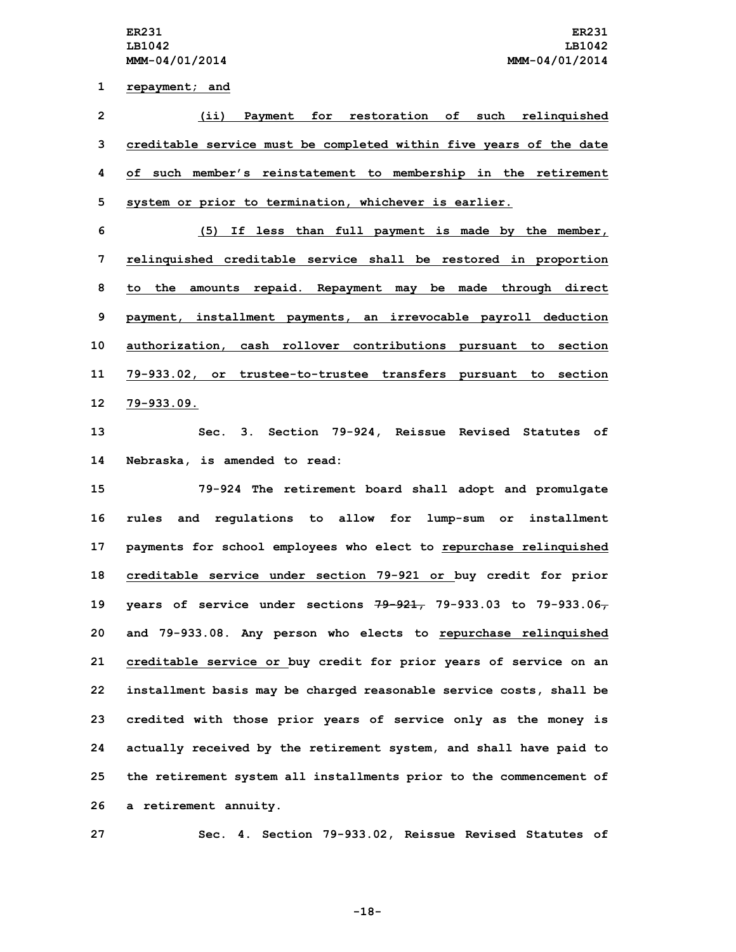**1 repayment; and**

 **(ii) Payment for restoration of such relinquished creditable service must be completed within five years of the date of such member's reinstatement to membership in the retirement system or prior to termination, whichever is earlier.**

 **(5) If less than full payment is made by the member, relinquished creditable service shall be restored in proportion to the amounts repaid. Repayment may be made through direct payment, installment payments, an irrevocable payroll deduction authorization, cash rollover contributions pursuant to section 79-933.02, or trustee-to-trustee transfers pursuant to section 79-933.09.**

**13 Sec. 3. Section 79-924, Reissue Revised Statutes of 14 Nebraska, is amended to read:**

 **79-924 The retirement board shall adopt and promulgate rules and regulations to allow for lump-sum or installment payments for school employees who elect to repurchase relinquished creditable service under section 79-921 or buy credit for prior years of service under sections 79-921, 79-933.03 to 79-933.06, and 79-933.08. Any person who elects to repurchase relinquished creditable service or buy credit for prior years of service on an installment basis may be charged reasonable service costs, shall be credited with those prior years of service only as the money is actually received by the retirement system, and shall have paid to the retirement system all installments prior to the commencement of <sup>a</sup> retirement annuity.**

**27 Sec. 4. Section 79-933.02, Reissue Revised Statutes of**

**-18-**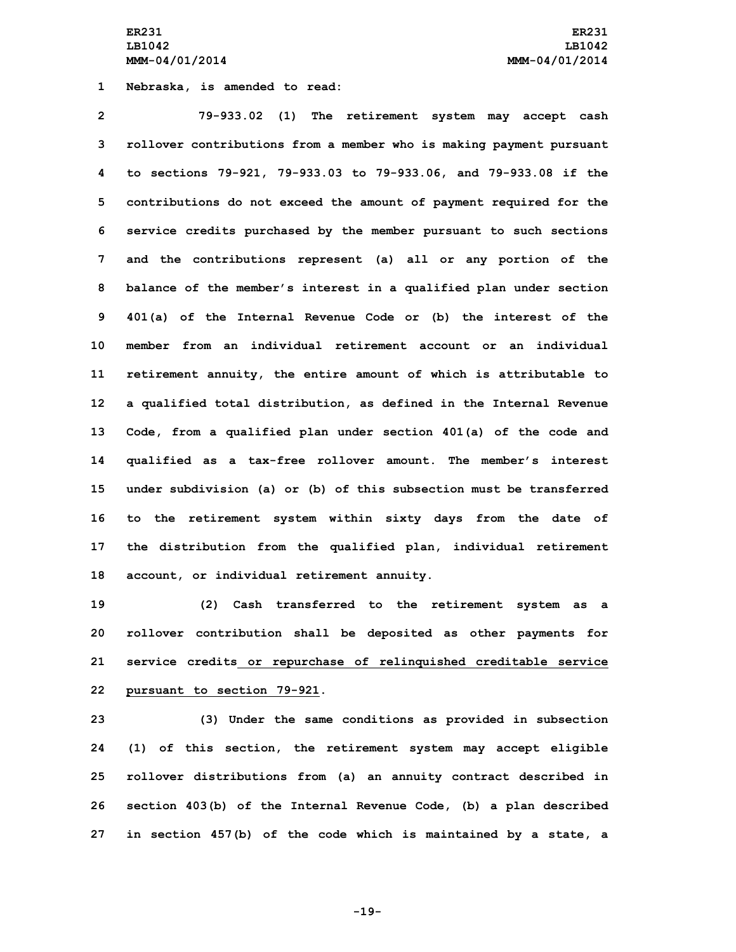**ER231 ER231 LB1042 LB1042 MMM-04/01/2014 MMM-04/01/2014**

**1 Nebraska, is amended to read:**

 **79-933.02 (1) The retirement system may accept cash rollover contributions from <sup>a</sup> member who is making payment pursuant to sections 79-921, 79-933.03 to 79-933.06, and 79-933.08 if the contributions do not exceed the amount of payment required for the service credits purchased by the member pursuant to such sections and the contributions represent (a) all or any portion of the balance of the member's interest in <sup>a</sup> qualified plan under section 401(a) of the Internal Revenue Code or (b) the interest of the member from an individual retirement account or an individual retirement annuity, the entire amount of which is attributable to <sup>a</sup> qualified total distribution, as defined in the Internal Revenue Code, from <sup>a</sup> qualified plan under section 401(a) of the code and qualified as <sup>a</sup> tax-free rollover amount. The member's interest under subdivision (a) or (b) of this subsection must be transferred to the retirement system within sixty days from the date of the distribution from the qualified plan, individual retirement account, or individual retirement annuity.**

 **(2) Cash transferred to the retirement system as <sup>a</sup> rollover contribution shall be deposited as other payments for service credits or repurchase of relinquished creditable service pursuant to section 79-921.**

 **(3) Under the same conditions as provided in subsection (1) of this section, the retirement system may accept eligible rollover distributions from (a) an annuity contract described in section 403(b) of the Internal Revenue Code, (b) <sup>a</sup> plan described in section 457(b) of the code which is maintained by <sup>a</sup> state, <sup>a</sup>**

**-19-**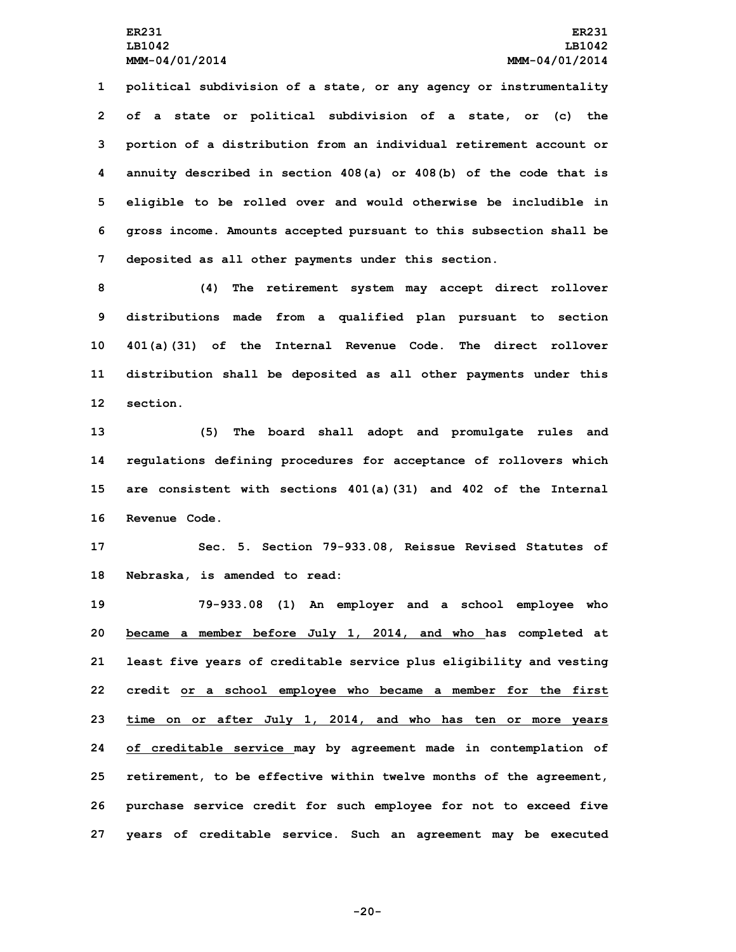**political subdivision of <sup>a</sup> state, or any agency or instrumentality of <sup>a</sup> state or political subdivision of <sup>a</sup> state, or (c) the portion of <sup>a</sup> distribution from an individual retirement account or annuity described in section 408(a) or 408(b) of the code that is eligible to be rolled over and would otherwise be includible in gross income. Amounts accepted pursuant to this subsection shall be deposited as all other payments under this section.**

 **(4) The retirement system may accept direct rollover distributions made from <sup>a</sup> qualified plan pursuant to section 401(a)(31) of the Internal Revenue Code. The direct rollover distribution shall be deposited as all other payments under this 12 section.**

 **(5) The board shall adopt and promulgate rules and regulations defining procedures for acceptance of rollovers which are consistent with sections 401(a)(31) and 402 of the Internal Revenue Code.**

**17 Sec. 5. Section 79-933.08, Reissue Revised Statutes of 18 Nebraska, is amended to read:**

 **79-933.08 (1) An employer and <sup>a</sup> school employee who became <sup>a</sup> member before July 1, 2014, and who has completed at least five years of creditable service plus eligibility and vesting credit or <sup>a</sup> school employee who became <sup>a</sup> member for the first time on or after July 1, 2014, and who has ten or more years of creditable service may by agreement made in contemplation of retirement, to be effective within twelve months of the agreement, purchase service credit for such employee for not to exceed five years of creditable service. Such an agreement may be executed**

**-20-**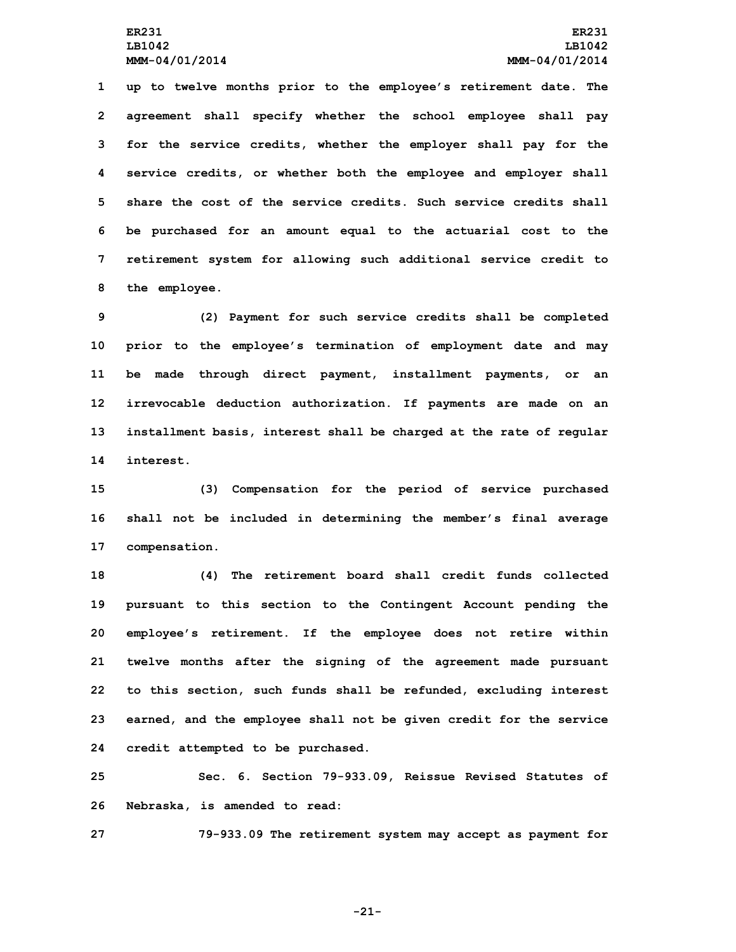**up to twelve months prior to the employee's retirement date. The agreement shall specify whether the school employee shall pay for the service credits, whether the employer shall pay for the service credits, or whether both the employee and employer shall share the cost of the service credits. Such service credits shall be purchased for an amount equal to the actuarial cost to the retirement system for allowing such additional service credit to the employee.**

 **(2) Payment for such service credits shall be completed prior to the employee's termination of employment date and may be made through direct payment, installment payments, or an irrevocable deduction authorization. If payments are made on an installment basis, interest shall be charged at the rate of regular interest.**

**15 (3) Compensation for the period of service purchased 16 shall not be included in determining the member's final average 17 compensation.**

 **(4) The retirement board shall credit funds collected pursuant to this section to the Contingent Account pending the employee's retirement. If the employee does not retire within twelve months after the signing of the agreement made pursuant to this section, such funds shall be refunded, excluding interest earned, and the employee shall not be given credit for the service credit attempted to be purchased.**

**25 Sec. 6. Section 79-933.09, Reissue Revised Statutes of 26 Nebraska, is amended to read:**

**27 79-933.09 The retirement system may accept as payment for**

**-21-**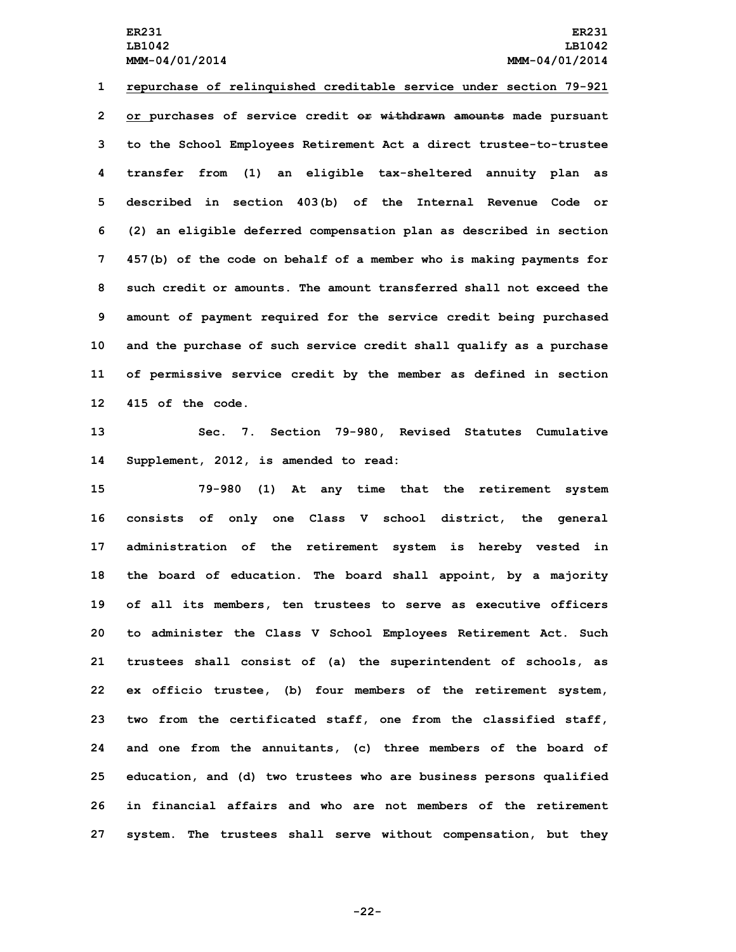## **ER231 ER231 LB1042 LB1042 MMM-04/01/2014 MMM-04/01/2014**

 **repurchase of relinquished creditable service under section 79-921 or purchases of service credit or withdrawn amounts made pursuant to the School Employees Retirement Act <sup>a</sup> direct trustee-to-trustee transfer from (1) an eligible tax-sheltered annuity plan as described in section 403(b) of the Internal Revenue Code or (2) an eligible deferred compensation plan as described in section 457(b) of the code on behalf of <sup>a</sup> member who is making payments for such credit or amounts. The amount transferred shall not exceed the amount of payment required for the service credit being purchased and the purchase of such service credit shall qualify as <sup>a</sup> purchase of permissive service credit by the member as defined in section 415 of the code.**

**13 Sec. 7. Section 79-980, Revised Statutes Cumulative 14 Supplement, 2012, is amended to read:**

 **79-980 (1) At any time that the retirement system consists of only one Class <sup>V</sup> school district, the general administration of the retirement system is hereby vested in the board of education. The board shall appoint, by <sup>a</sup> majority of all its members, ten trustees to serve as executive officers to administer the Class <sup>V</sup> School Employees Retirement Act. Such trustees shall consist of (a) the superintendent of schools, as ex officio trustee, (b) four members of the retirement system, two from the certificated staff, one from the classified staff, and one from the annuitants, (c) three members of the board of education, and (d) two trustees who are business persons qualified in financial affairs and who are not members of the retirement system. The trustees shall serve without compensation, but they**

**-22-**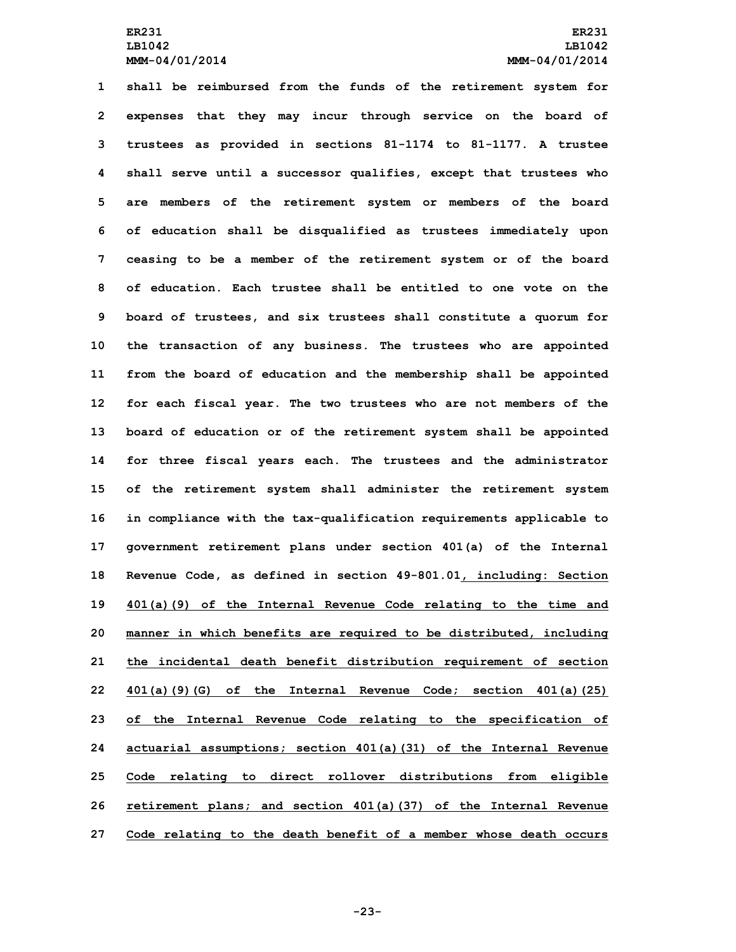**shall be reimbursed from the funds of the retirement system for expenses that they may incur through service on the board of trustees as provided in sections 81-1174 to 81-1177. <sup>A</sup> trustee shall serve until <sup>a</sup> successor qualifies, except that trustees who are members of the retirement system or members of the board of education shall be disqualified as trustees immediately upon ceasing to be <sup>a</sup> member of the retirement system or of the board of education. Each trustee shall be entitled to one vote on the board of trustees, and six trustees shall constitute <sup>a</sup> quorum for the transaction of any business. The trustees who are appointed from the board of education and the membership shall be appointed for each fiscal year. The two trustees who are not members of the board of education or of the retirement system shall be appointed for three fiscal years each. The trustees and the administrator of the retirement system shall administer the retirement system in compliance with the tax-qualification requirements applicable to government retirement plans under section 401(a) of the Internal Revenue Code, as defined in section 49-801.01, including: Section 401(a)(9) of the Internal Revenue Code relating to the time and manner in which benefits are required to be distributed, including the incidental death benefit distribution requirement of section 401(a)(9)(G) of the Internal Revenue Code; section 401(a)(25) of the Internal Revenue Code relating to the specification of actuarial assumptions; section 401(a)(31) of the Internal Revenue Code relating to direct rollover distributions from eligible retirement plans; and section 401(a)(37) of the Internal Revenue Code relating to the death benefit of <sup>a</sup> member whose death occurs**

**-23-**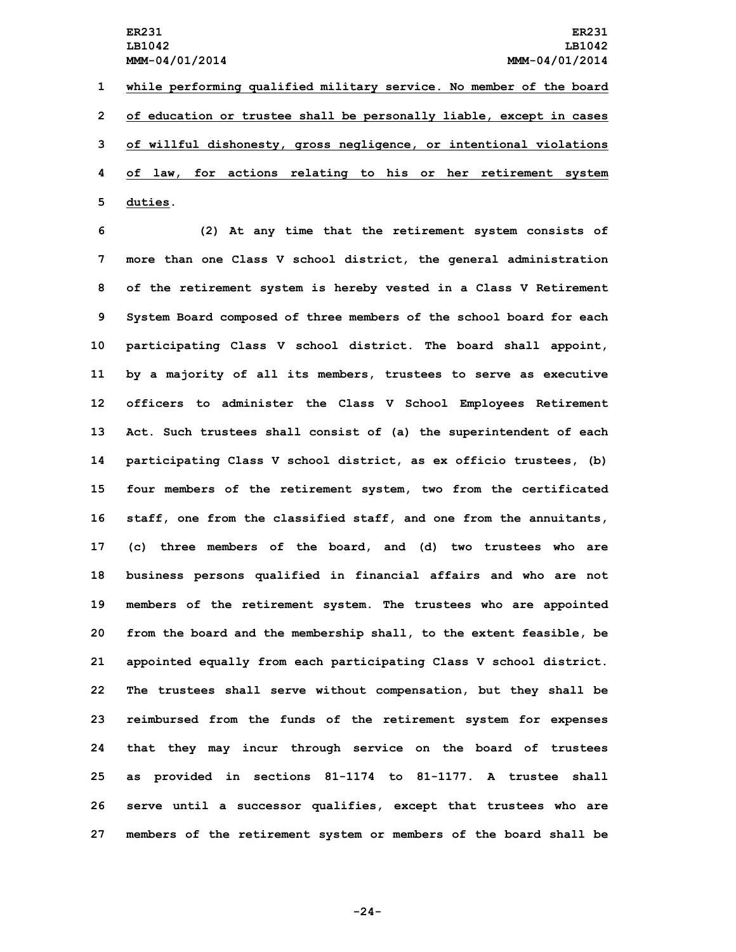**while performing qualified military service. No member of the board of education or trustee shall be personally liable, except in cases of willful dishonesty, gross negligence, or intentional violations of law, for actions relating to his or her retirement system 5 duties.**

 **(2) At any time that the retirement system consists of more than one Class V school district, the general administration of the retirement system is hereby vested in <sup>a</sup> Class <sup>V</sup> Retirement System Board composed of three members of the school board for each participating Class <sup>V</sup> school district. The board shall appoint, by <sup>a</sup> majority of all its members, trustees to serve as executive officers to administer the Class <sup>V</sup> School Employees Retirement Act. Such trustees shall consist of (a) the superintendent of each participating Class <sup>V</sup> school district, as ex officio trustees, (b) four members of the retirement system, two from the certificated staff, one from the classified staff, and one from the annuitants, (c) three members of the board, and (d) two trustees who are business persons qualified in financial affairs and who are not members of the retirement system. The trustees who are appointed from the board and the membership shall, to the extent feasible, be appointed equally from each participating Class <sup>V</sup> school district. The trustees shall serve without compensation, but they shall be reimbursed from the funds of the retirement system for expenses that they may incur through service on the board of trustees as provided in sections 81-1174 to 81-1177. <sup>A</sup> trustee shall serve until <sup>a</sup> successor qualifies, except that trustees who are members of the retirement system or members of the board shall be**

**-24-**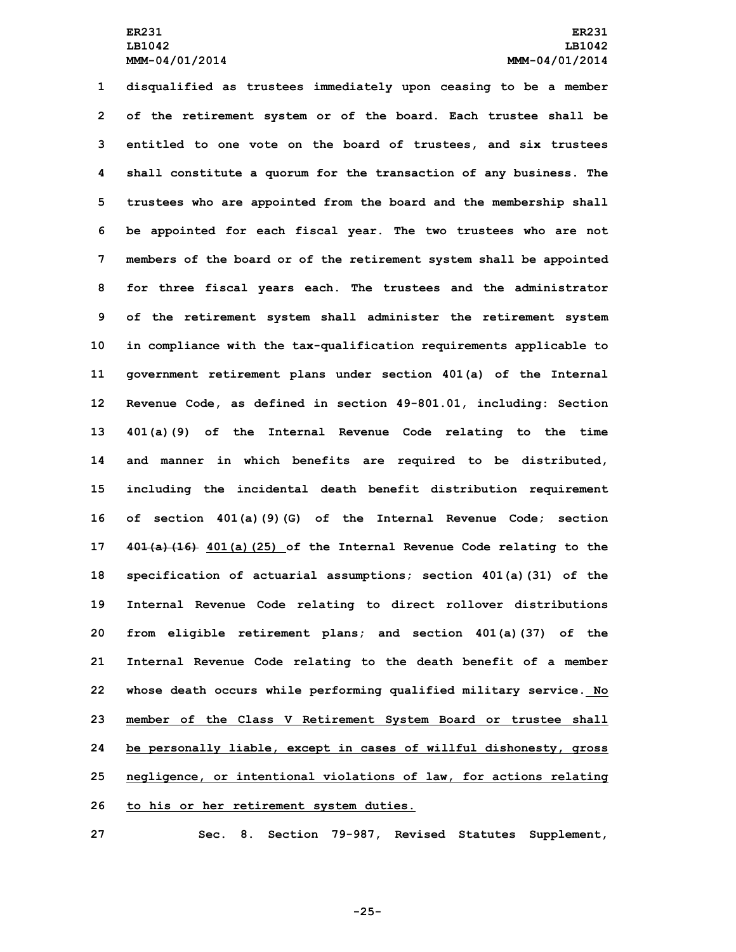**disqualified as trustees immediately upon ceasing to be <sup>a</sup> member of the retirement system or of the board. Each trustee shall be entitled to one vote on the board of trustees, and six trustees shall constitute <sup>a</sup> quorum for the transaction of any business. The trustees who are appointed from the board and the membership shall be appointed for each fiscal year. The two trustees who are not members of the board or of the retirement system shall be appointed for three fiscal years each. The trustees and the administrator of the retirement system shall administer the retirement system in compliance with the tax-qualification requirements applicable to government retirement plans under section 401(a) of the Internal Revenue Code, as defined in section 49-801.01, including: Section 401(a)(9) of the Internal Revenue Code relating to the time and manner in which benefits are required to be distributed, including the incidental death benefit distribution requirement of section 401(a)(9)(G) of the Internal Revenue Code; section 401(a)(16) 401(a)(25) of the Internal Revenue Code relating to the specification of actuarial assumptions; section 401(a)(31) of the Internal Revenue Code relating to direct rollover distributions from eligible retirement plans; and section 401(a)(37) of the Internal Revenue Code relating to the death benefit of <sup>a</sup> member whose death occurs while performing qualified military service. No member of the Class <sup>V</sup> Retirement System Board or trustee shall be personally liable, except in cases of willful dishonesty, gross negligence, or intentional violations of law, for actions relating to his or her retirement system duties.**

**27 Sec. 8. Section 79-987, Revised Statutes Supplement,**

**-25-**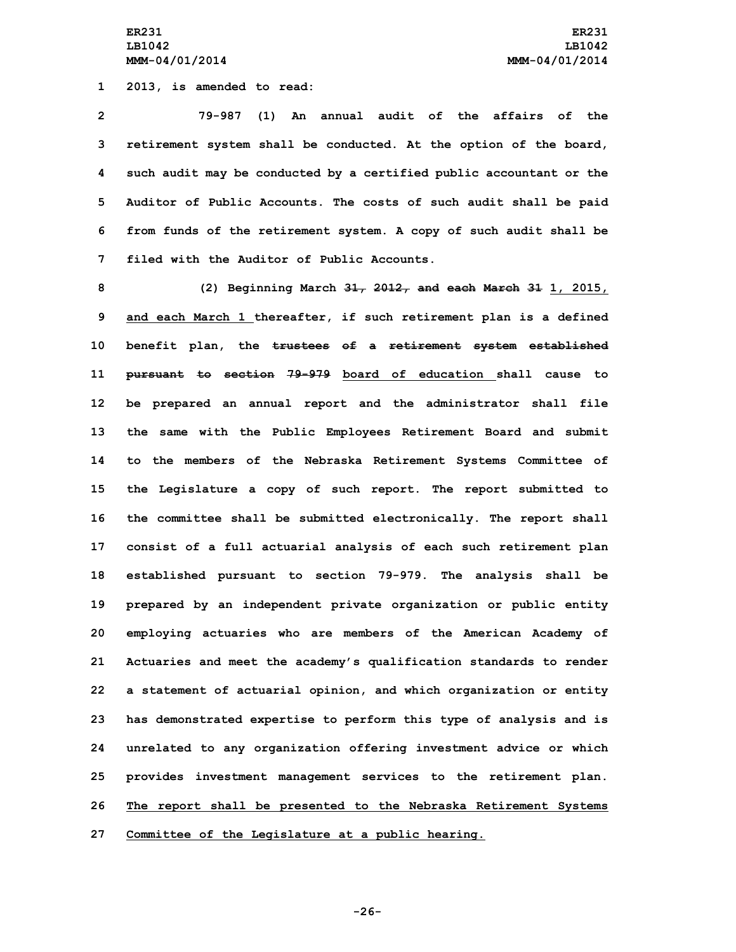**1 2013, is amended to read:**

 **79-987 (1) An annual audit of the affairs of the retirement system shall be conducted. At the option of the board, such audit may be conducted by <sup>a</sup> certified public accountant or the Auditor of Public Accounts. The costs of such audit shall be paid from funds of the retirement system. <sup>A</sup> copy of such audit shall be filed with the Auditor of Public Accounts.**

 **(2) Beginning March 31, 2012, and each March 31 1, 2015, and each March 1 thereafter, if such retirement plan is <sup>a</sup> defined benefit plan, the trustees of <sup>a</sup> retirement system established pursuant to section 79-979 board of education shall cause to be prepared an annual report and the administrator shall file the same with the Public Employees Retirement Board and submit to the members of the Nebraska Retirement Systems Committee of the Legislature <sup>a</sup> copy of such report. The report submitted to the committee shall be submitted electronically. The report shall consist of <sup>a</sup> full actuarial analysis of each such retirement plan established pursuant to section 79-979. The analysis shall be prepared by an independent private organization or public entity employing actuaries who are members of the American Academy of Actuaries and meet the academy's qualification standards to render <sup>a</sup> statement of actuarial opinion, and which organization or entity has demonstrated expertise to perform this type of analysis and is unrelated to any organization offering investment advice or which provides investment management services to the retirement plan. The report shall be presented to the Nebraska Retirement Systems Committee of the Legislature at <sup>a</sup> public hearing.**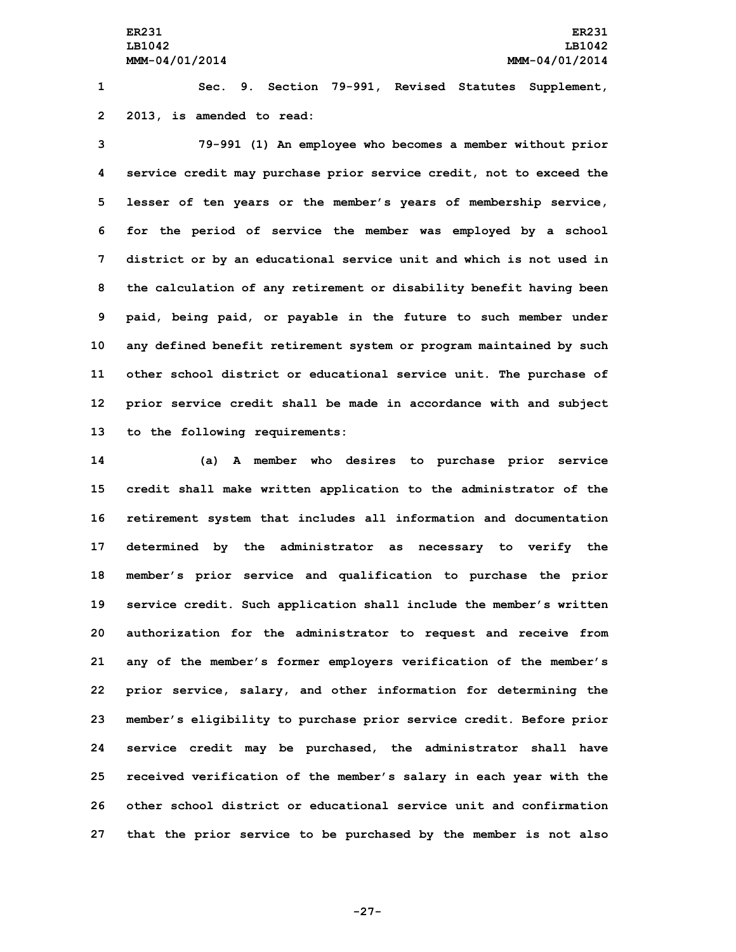**1 Sec. 9. Section 79-991, Revised Statutes Supplement, 2 2013, is amended to read:**

 **79-991 (1) An employee who becomes <sup>a</sup> member without prior service credit may purchase prior service credit, not to exceed the lesser of ten years or the member's years of membership service, for the period of service the member was employed by <sup>a</sup> school district or by an educational service unit and which is not used in the calculation of any retirement or disability benefit having been paid, being paid, or payable in the future to such member under any defined benefit retirement system or program maintained by such other school district or educational service unit. The purchase of prior service credit shall be made in accordance with and subject to the following requirements:**

 **(a) <sup>A</sup> member who desires to purchase prior service credit shall make written application to the administrator of the retirement system that includes all information and documentation determined by the administrator as necessary to verify the member's prior service and qualification to purchase the prior service credit. Such application shall include the member's written authorization for the administrator to request and receive from any of the member's former employers verification of the member's prior service, salary, and other information for determining the member's eligibility to purchase prior service credit. Before prior service credit may be purchased, the administrator shall have received verification of the member's salary in each year with the other school district or educational service unit and confirmation that the prior service to be purchased by the member is not also**

**-27-**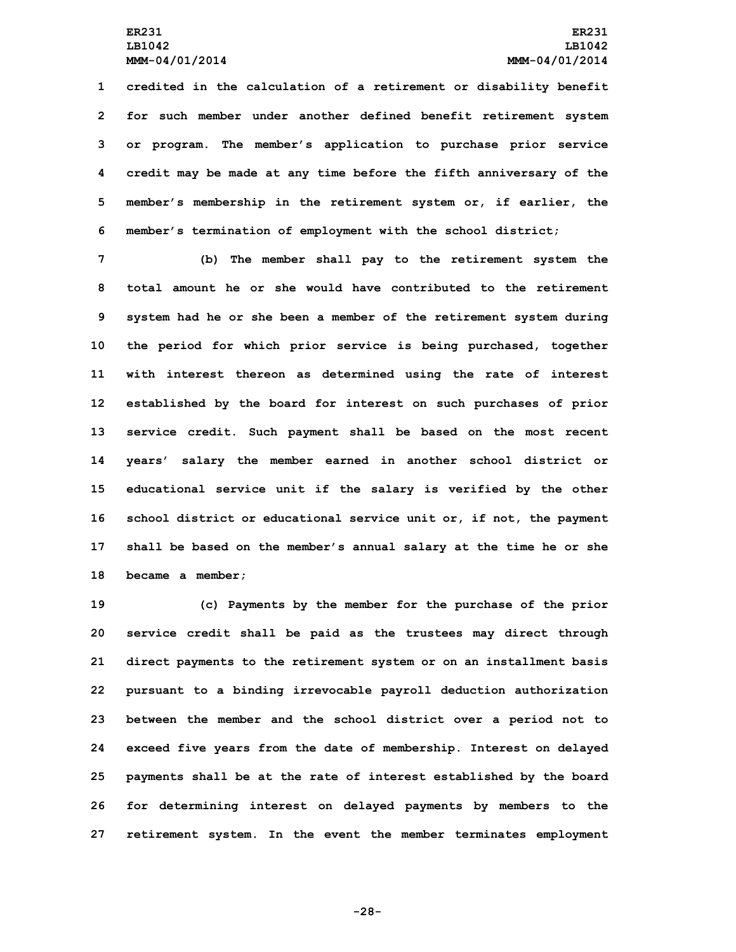**credited in the calculation of <sup>a</sup> retirement or disability benefit for such member under another defined benefit retirement system or program. The member's application to purchase prior service credit may be made at any time before the fifth anniversary of the member's membership in the retirement system or, if earlier, the member's termination of employment with the school district;**

 **(b) The member shall pay to the retirement system the total amount he or she would have contributed to the retirement system had he or she been <sup>a</sup> member of the retirement system during the period for which prior service is being purchased, together with interest thereon as determined using the rate of interest established by the board for interest on such purchases of prior service credit. Such payment shall be based on the most recent years' salary the member earned in another school district or educational service unit if the salary is verified by the other school district or educational service unit or, if not, the payment shall be based on the member's annual salary at the time he or she became <sup>a</sup> member;**

 **(c) Payments by the member for the purchase of the prior service credit shall be paid as the trustees may direct through direct payments to the retirement system or on an installment basis pursuant to <sup>a</sup> binding irrevocable payroll deduction authorization between the member and the school district over <sup>a</sup> period not to exceed five years from the date of membership. Interest on delayed payments shall be at the rate of interest established by the board for determining interest on delayed payments by members to the retirement system. In the event the member terminates employment**

**-28-**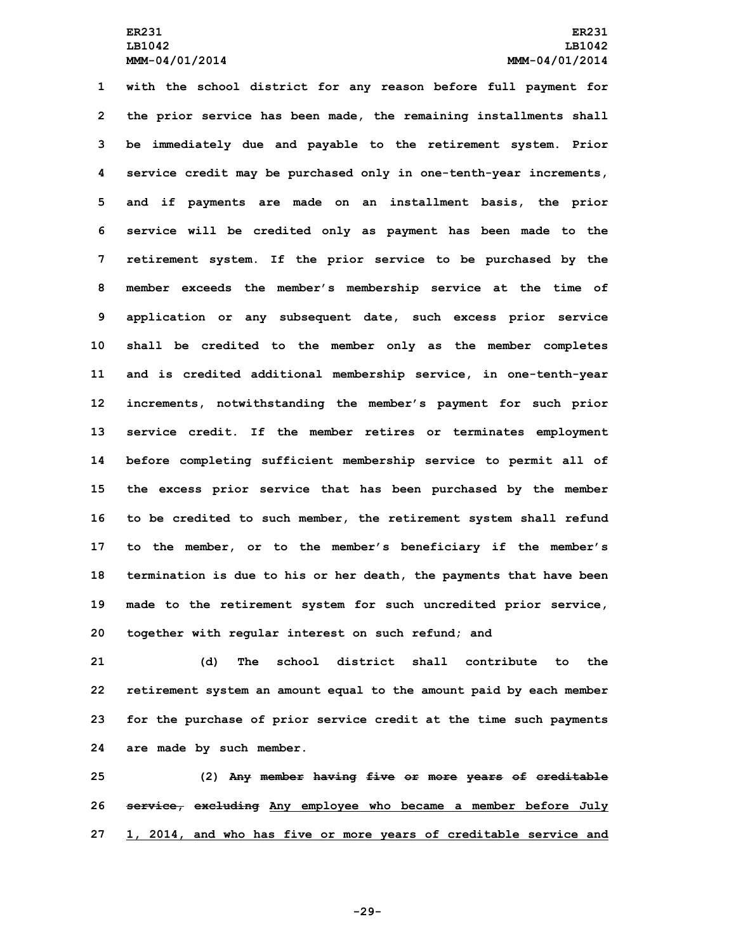**with the school district for any reason before full payment for the prior service has been made, the remaining installments shall be immediately due and payable to the retirement system. Prior service credit may be purchased only in one-tenth-year increments, and if payments are made on an installment basis, the prior service will be credited only as payment has been made to the retirement system. If the prior service to be purchased by the member exceeds the member's membership service at the time of application or any subsequent date, such excess prior service shall be credited to the member only as the member completes and is credited additional membership service, in one-tenth-year increments, notwithstanding the member's payment for such prior service credit. If the member retires or terminates employment before completing sufficient membership service to permit all of the excess prior service that has been purchased by the member to be credited to such member, the retirement system shall refund to the member, or to the member's beneficiary if the member's termination is due to his or her death, the payments that have been made to the retirement system for such uncredited prior service, together with regular interest on such refund; and**

 **(d) The school district shall contribute to the retirement system an amount equal to the amount paid by each member for the purchase of prior service credit at the time such payments are made by such member.**

**25 (2) Any member having five or more years of creditable 26 service, excluding Any employee who became <sup>a</sup> member before July 27 1, 2014, and who has five or more years of creditable service and**

**-29-**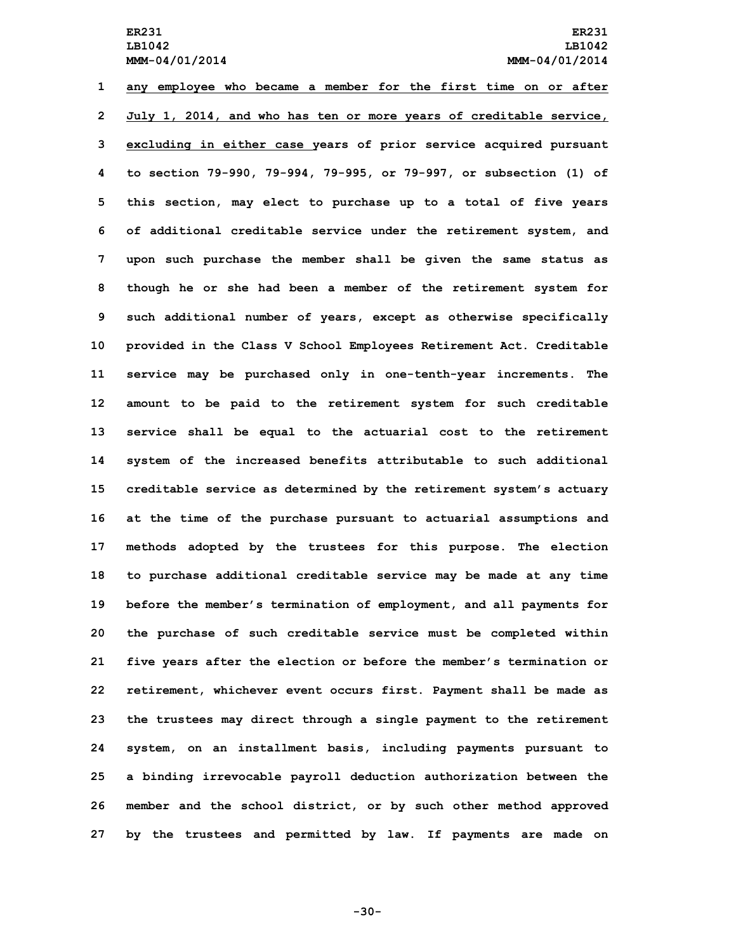**any employee who became <sup>a</sup> member for the first time on or after July 1, 2014, and who has ten or more years of creditable service, excluding in either case years of prior service acquired pursuant to section 79-990, 79-994, 79-995, or 79-997, or subsection (1) of this section, may elect to purchase up to <sup>a</sup> total of five years of additional creditable service under the retirement system, and upon such purchase the member shall be given the same status as though he or she had been <sup>a</sup> member of the retirement system for such additional number of years, except as otherwise specifically provided in the Class <sup>V</sup> School Employees Retirement Act. Creditable service may be purchased only in one-tenth-year increments. The amount to be paid to the retirement system for such creditable service shall be equal to the actuarial cost to the retirement system of the increased benefits attributable to such additional creditable service as determined by the retirement system's actuary at the time of the purchase pursuant to actuarial assumptions and methods adopted by the trustees for this purpose. The election to purchase additional creditable service may be made at any time before the member's termination of employment, and all payments for the purchase of such creditable service must be completed within five years after the election or before the member's termination or retirement, whichever event occurs first. Payment shall be made as the trustees may direct through <sup>a</sup> single payment to the retirement system, on an installment basis, including payments pursuant to <sup>a</sup> binding irrevocable payroll deduction authorization between the member and the school district, or by such other method approved by the trustees and permitted by law. If payments are made on**

**-30-**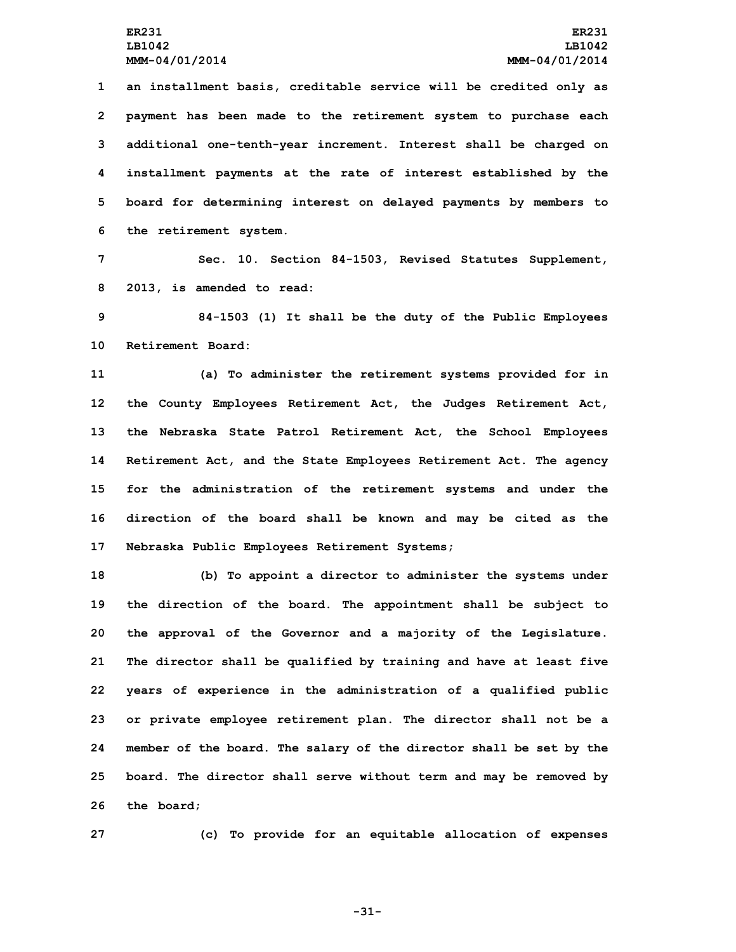**an installment basis, creditable service will be credited only as payment has been made to the retirement system to purchase each additional one-tenth-year increment. Interest shall be charged on installment payments at the rate of interest established by the board for determining interest on delayed payments by members to the retirement system.**

**7 Sec. 10. Section 84-1503, Revised Statutes Supplement, 8 2013, is amended to read:**

**9 84-1503 (1) It shall be the duty of the Public Employees 10 Retirement Board:**

 **(a) To administer the retirement systems provided for in the County Employees Retirement Act, the Judges Retirement Act, the Nebraska State Patrol Retirement Act, the School Employees Retirement Act, and the State Employees Retirement Act. The agency for the administration of the retirement systems and under the direction of the board shall be known and may be cited as the Nebraska Public Employees Retirement Systems;**

 **(b) To appoint <sup>a</sup> director to administer the systems under the direction of the board. The appointment shall be subject to the approval of the Governor and <sup>a</sup> majority of the Legislature. The director shall be qualified by training and have at least five years of experience in the administration of <sup>a</sup> qualified public or private employee retirement plan. The director shall not be <sup>a</sup> member of the board. The salary of the director shall be set by the board. The director shall serve without term and may be removed by the board;**

**27 (c) To provide for an equitable allocation of expenses**

**-31-**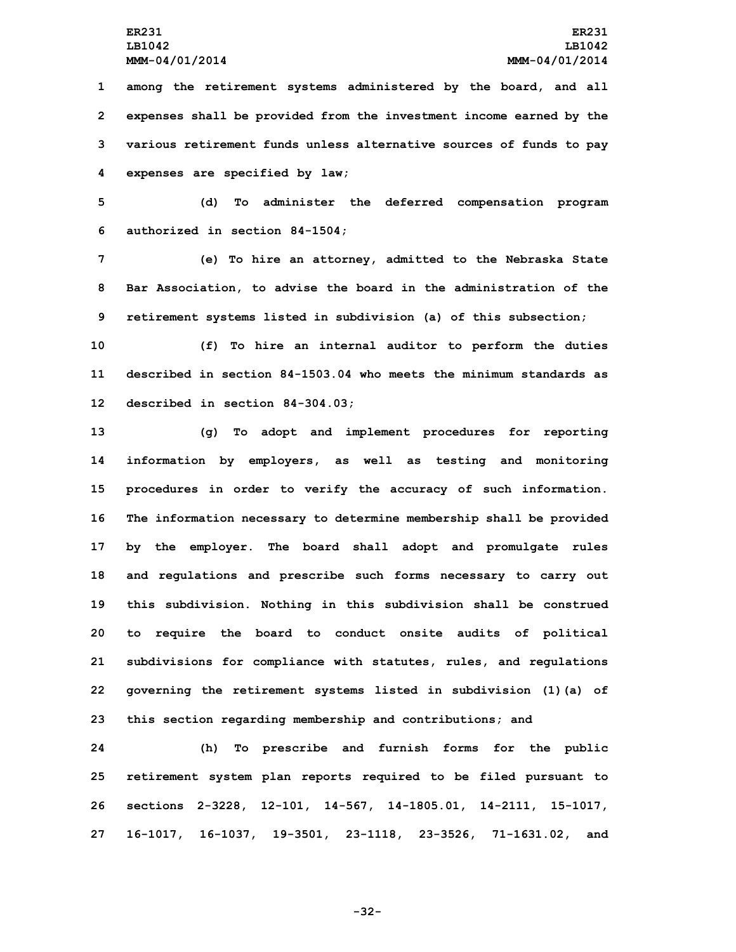**among the retirement systems administered by the board, and all expenses shall be provided from the investment income earned by the various retirement funds unless alternative sources of funds to pay expenses are specified by law;**

**5 (d) To administer the deferred compensation program 6 authorized in section 84-1504;**

**7 (e) To hire an attorney, admitted to the Nebraska State 8 Bar Association, to advise the board in the administration of the 9 retirement systems listed in subdivision (a) of this subsection;**

**10 (f) To hire an internal auditor to perform the duties 11 described in section 84-1503.04 who meets the minimum standards as 12 described in section 84-304.03;**

 **(g) To adopt and implement procedures for reporting information by employers, as well as testing and monitoring procedures in order to verify the accuracy of such information. The information necessary to determine membership shall be provided by the employer. The board shall adopt and promulgate rules and regulations and prescribe such forms necessary to carry out this subdivision. Nothing in this subdivision shall be construed to require the board to conduct onsite audits of political subdivisions for compliance with statutes, rules, and regulations governing the retirement systems listed in subdivision (1)(a) of this section regarding membership and contributions; and**

 **(h) To prescribe and furnish forms for the public retirement system plan reports required to be filed pursuant to sections 2-3228, 12-101, 14-567, 14-1805.01, 14-2111, 15-1017, 16-1017, 16-1037, 19-3501, 23-1118, 23-3526, 71-1631.02, and**

**-32-**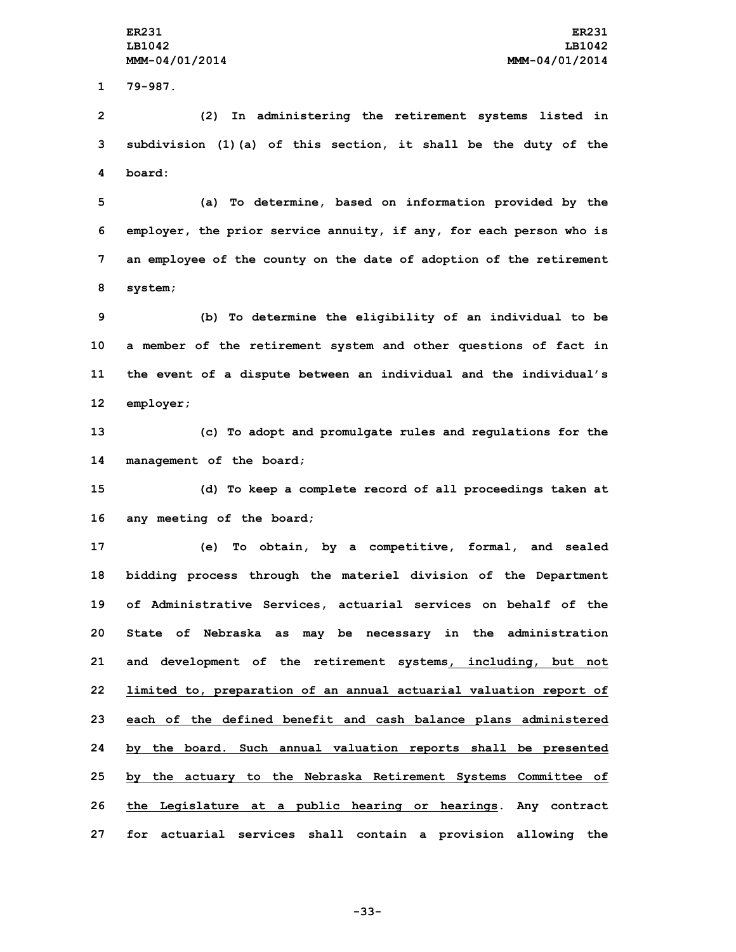**1 79-987.**

**2 (2) In administering the retirement systems listed in 3 subdivision (1)(a) of this section, it shall be the duty of the 4 board:**

 **(a) To determine, based on information provided by the employer, the prior service annuity, if any, for each person who is an employee of the county on the date of adoption of the retirement 8 system;**

 **(b) To determine the eligibility of an individual to be <sup>a</sup> member of the retirement system and other questions of fact in the event of <sup>a</sup> dispute between an individual and the individual's employer;**

**13 (c) To adopt and promulgate rules and regulations for the 14 management of the board;**

**15 (d) To keep <sup>a</sup> complete record of all proceedings taken at 16 any meeting of the board;**

 **(e) To obtain, by <sup>a</sup> competitive, formal, and sealed bidding process through the materiel division of the Department of Administrative Services, actuarial services on behalf of the State of Nebraska as may be necessary in the administration and development of the retirement systems, including, but not limited to, preparation of an annual actuarial valuation report of each of the defined benefit and cash balance plans administered by the board. Such annual valuation reports shall be presented by the actuary to the Nebraska Retirement Systems Committee of the Legislature at <sup>a</sup> public hearing or hearings. Any contract for actuarial services shall contain <sup>a</sup> provision allowing the**

**-33-**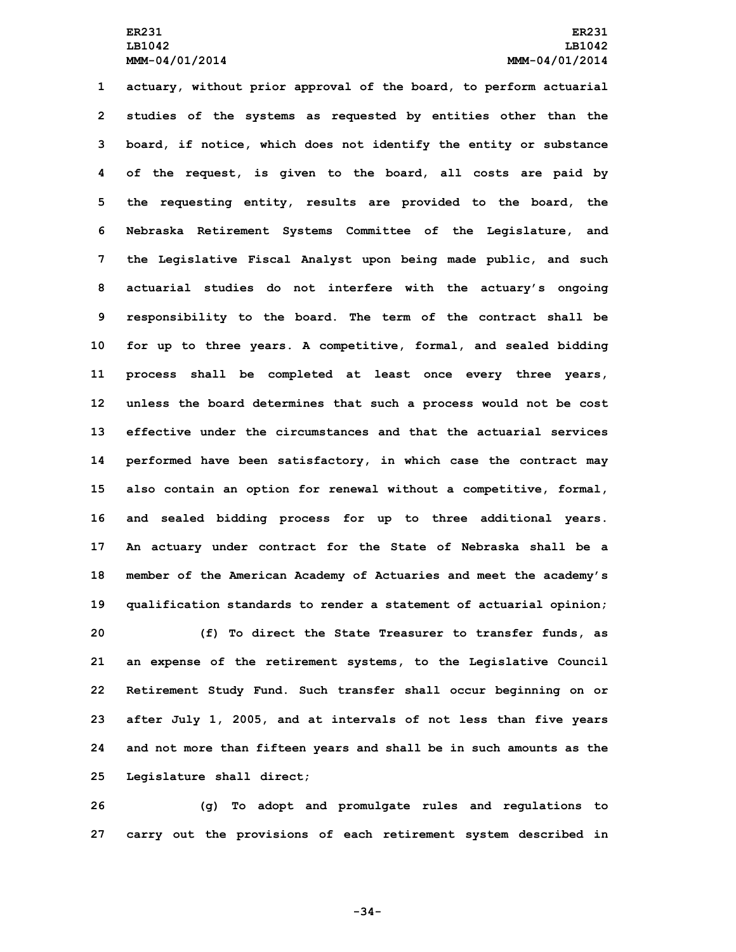**actuary, without prior approval of the board, to perform actuarial studies of the systems as requested by entities other than the board, if notice, which does not identify the entity or substance of the request, is given to the board, all costs are paid by the requesting entity, results are provided to the board, the Nebraska Retirement Systems Committee of the Legislature, and the Legislative Fiscal Analyst upon being made public, and such actuarial studies do not interfere with the actuary's ongoing responsibility to the board. The term of the contract shall be for up to three years. <sup>A</sup> competitive, formal, and sealed bidding process shall be completed at least once every three years, unless the board determines that such <sup>a</sup> process would not be cost effective under the circumstances and that the actuarial services performed have been satisfactory, in which case the contract may also contain an option for renewal without <sup>a</sup> competitive, formal, and sealed bidding process for up to three additional years. An actuary under contract for the State of Nebraska shall be <sup>a</sup> member of the American Academy of Actuaries and meet the academy's qualification standards to render <sup>a</sup> statement of actuarial opinion; (f) To direct the State Treasurer to transfer funds, as an expense of the retirement systems, to the Legislative Council Retirement Study Fund. Such transfer shall occur beginning on or after July 1, 2005, and at intervals of not less than five years and not more than fifteen years and shall be in such amounts as the Legislature shall direct;**

**26 (g) To adopt and promulgate rules and regulations to 27 carry out the provisions of each retirement system described in**

**-34-**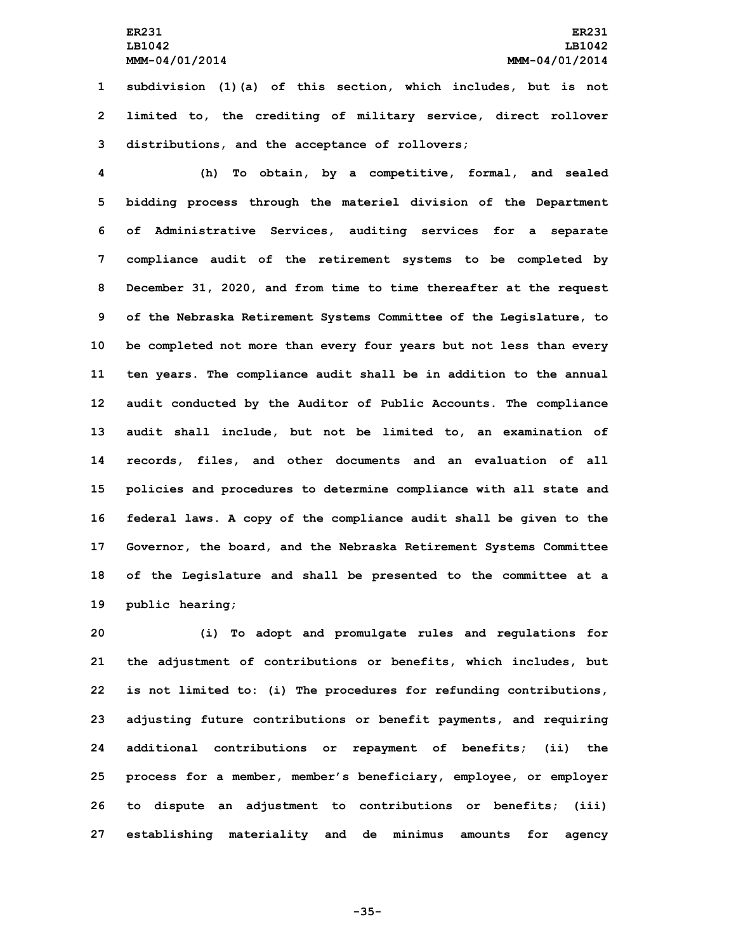## **ER231 ER231 LB1042 LB1042 MMM-04/01/2014 MMM-04/01/2014**

**1 subdivision (1)(a) of this section, which includes, but is not 2 limited to, the crediting of military service, direct rollover 3 distributions, and the acceptance of rollovers;**

 **(h) To obtain, by <sup>a</sup> competitive, formal, and sealed bidding process through the materiel division of the Department of Administrative Services, auditing services for <sup>a</sup> separate compliance audit of the retirement systems to be completed by December 31, 2020, and from time to time thereafter at the request of the Nebraska Retirement Systems Committee of the Legislature, to be completed not more than every four years but not less than every ten years. The compliance audit shall be in addition to the annual audit conducted by the Auditor of Public Accounts. The compliance audit shall include, but not be limited to, an examination of records, files, and other documents and an evaluation of all policies and procedures to determine compliance with all state and federal laws. <sup>A</sup> copy of the compliance audit shall be given to the Governor, the board, and the Nebraska Retirement Systems Committee of the Legislature and shall be presented to the committee at <sup>a</sup> public hearing;**

 **(i) To adopt and promulgate rules and regulations for the adjustment of contributions or benefits, which includes, but is not limited to: (i) The procedures for refunding contributions, adjusting future contributions or benefit payments, and requiring additional contributions or repayment of benefits; (ii) the process for <sup>a</sup> member, member's beneficiary, employee, or employer to dispute an adjustment to contributions or benefits; (iii) establishing materiality and de minimus amounts for agency**

**-35-**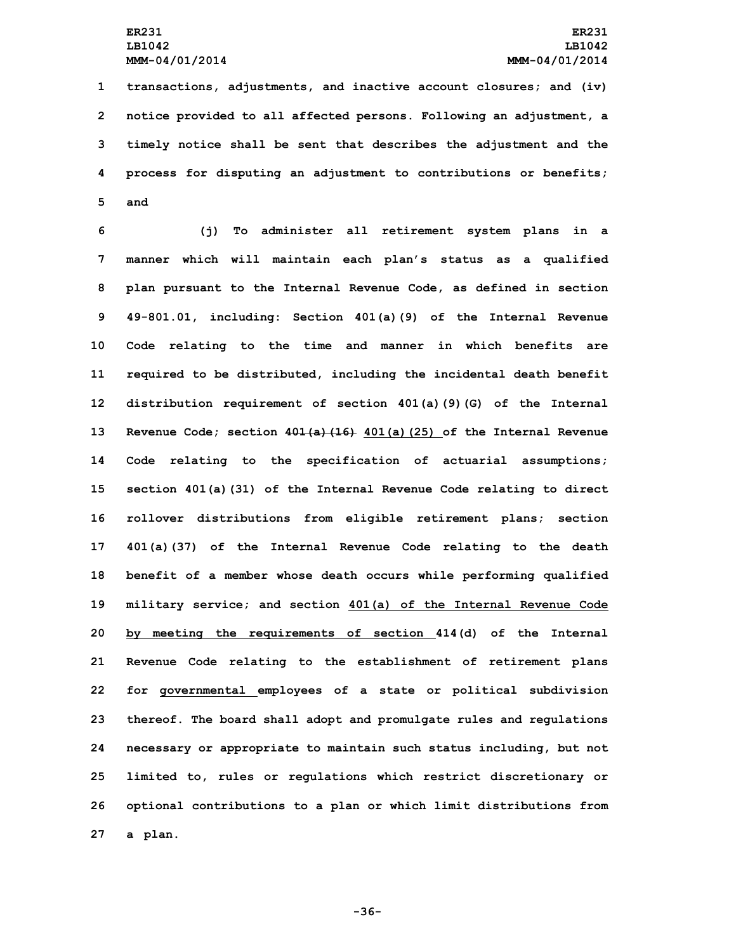**transactions, adjustments, and inactive account closures; and (iv) notice provided to all affected persons. Following an adjustment, <sup>a</sup> timely notice shall be sent that describes the adjustment and the process for disputing an adjustment to contributions or benefits; 5 and**

 **(j) To administer all retirement system plans in <sup>a</sup> manner which will maintain each plan's status as <sup>a</sup> qualified plan pursuant to the Internal Revenue Code, as defined in section 49-801.01, including: Section 401(a)(9) of the Internal Revenue Code relating to the time and manner in which benefits are required to be distributed, including the incidental death benefit distribution requirement of section 401(a)(9)(G) of the Internal Revenue Code; section 401(a)(16) 401(a)(25) of the Internal Revenue Code relating to the specification of actuarial assumptions; section 401(a)(31) of the Internal Revenue Code relating to direct rollover distributions from eligible retirement plans; section 401(a)(37) of the Internal Revenue Code relating to the death benefit of <sup>a</sup> member whose death occurs while performing qualified military service; and section 401(a) of the Internal Revenue Code by meeting the requirements of section 414(d) of the Internal Revenue Code relating to the establishment of retirement plans for governmental employees of <sup>a</sup> state or political subdivision thereof. The board shall adopt and promulgate rules and regulations necessary or appropriate to maintain such status including, but not limited to, rules or regulations which restrict discretionary or optional contributions to <sup>a</sup> plan or which limit distributions from 27 <sup>a</sup> plan.**

**-36-**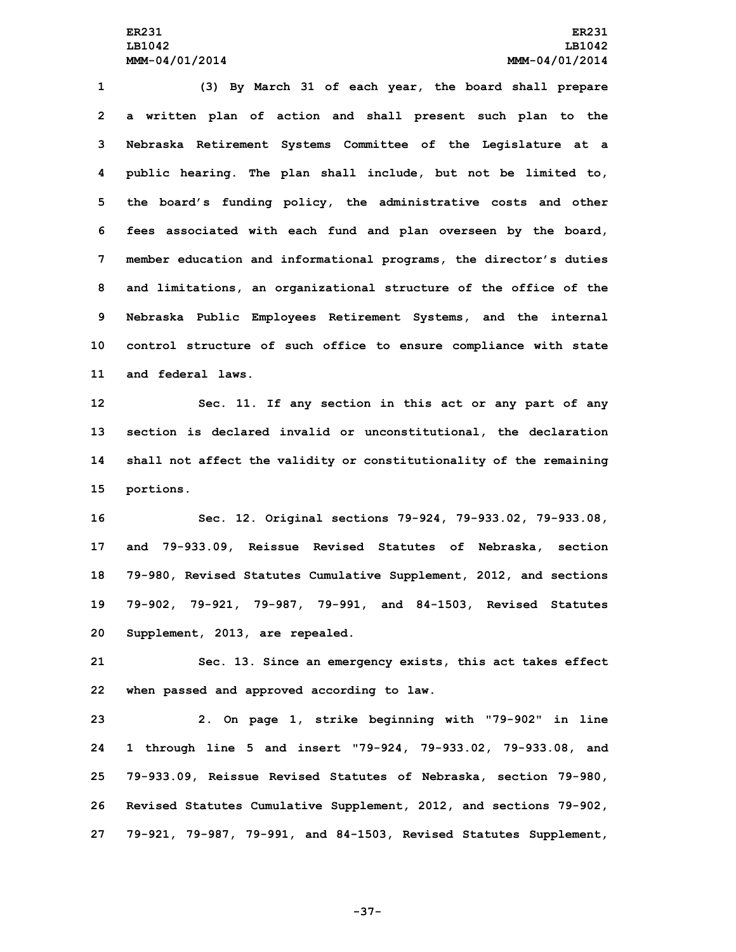**(3) By March 31 of each year, the board shall prepare <sup>a</sup> written plan of action and shall present such plan to the Nebraska Retirement Systems Committee of the Legislature at <sup>a</sup> public hearing. The plan shall include, but not be limited to, the board's funding policy, the administrative costs and other fees associated with each fund and plan overseen by the board, member education and informational programs, the director's duties and limitations, an organizational structure of the office of the Nebraska Public Employees Retirement Systems, and the internal control structure of such office to ensure compliance with state and federal laws.**

 **Sec. 11. If any section in this act or any part of any section is declared invalid or unconstitutional, the declaration shall not affect the validity or constitutionality of the remaining portions.**

 **Sec. 12. Original sections 79-924, 79-933.02, 79-933.08, and 79-933.09, Reissue Revised Statutes of Nebraska, section 79-980, Revised Statutes Cumulative Supplement, 2012, and sections 79-902, 79-921, 79-987, 79-991, and 84-1503, Revised Statutes Supplement, 2013, are repealed.**

**21 Sec. 13. Since an emergency exists, this act takes effect 22 when passed and approved according to law.**

 **2. On page 1, strike beginning with "79-902" in line 1 through line 5 and insert "79-924, 79-933.02, 79-933.08, and 79-933.09, Reissue Revised Statutes of Nebraska, section 79-980, Revised Statutes Cumulative Supplement, 2012, and sections 79-902, 79-921, 79-987, 79-991, and 84-1503, Revised Statutes Supplement,**

**-37-**